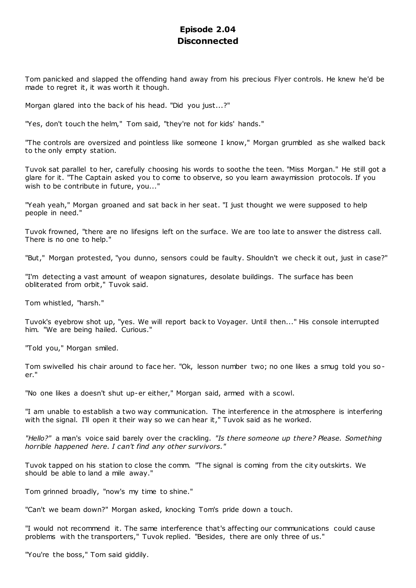# **Episode 2.04 Disconnected**

Tom panicked and slapped the offending hand away from his precious Flyer controls. He knew he'd be made to regret it, it was worth it though.

Morgan glared into the back of his head. "Did you just...?"

"Yes, don't touch the helm," Tom said, "they're not for kids' hands."

"The controls are oversized and pointless like someone I know," Morgan grumbled as she walked back to the only empty station.

Tuvok sat parallel to her, carefully choosing his words to soothe the teen. "Miss Morgan." He still got a glare for it. "The Captain asked you to come to observe, so you learn awaymission protocols. If you wish to be contribute in future, you..."

"Yeah yeah," Morgan groaned and sat back in her seat. "I just thought we were supposed to help people in need."

Tuvok frowned, "there are no lifesigns left on the surface. We are too late to answer the distress call. There is no one to help."

"But," Morgan protested, "you dunno, sensors could be faulty. Shouldn't we check it out, just in case?"

"I'm detecting a vast amount of weapon signatures, desolate buildings. The surface has been obliterated from orbit," Tuvok said.

Tom whistled, "harsh."

Tuvok's eyebrow shot up, "yes. We will report back to Voyager. Until then..." His console interrupted him. "We are being hailed. Curious."

"Told you," Morgan smiled.

Tom swivelled his chair around to face her. "Ok, lesson number two; no one likes a smug told you soer."

"No one likes a doesn't shut up-er either," Morgan said, armed with a scowl.

"I am unable to establish a two way communication. The interference in the atmosphere is interfering with the signal. I'll open it their way so we can hear it," Tuvok said as he worked.

*"Hello?"* a man's voice said barely over the crackling. *"Is there someone up there? Please. Something horrible happened here. I can't find any other survivors."*

Tuvok tapped on his station to close the comm. "The signal is coming from the city outskirts. We should be able to land a mile away."

Tom grinned broadly, "now's my time to shine."

"Can't we beam down?" Morgan asked, knocking Tom's pride down a touch.

"I would not recommend it. The same interference that's affecting our communications could cause problems with the transporters," Tuvok replied. "Besides, there are only three of us."

"You're the boss," Tom said giddily.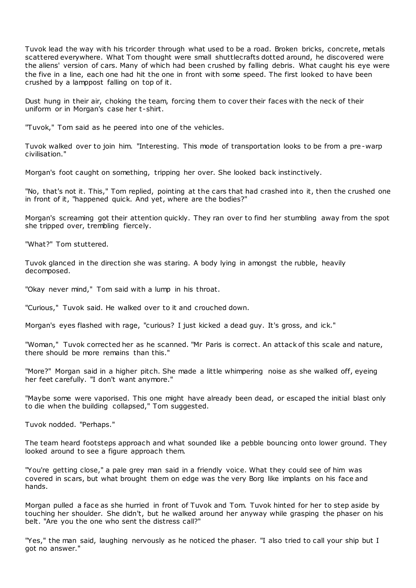Tuvok lead the way with his tricorder through what used to be a road. Broken bricks, concrete, metals scattered everywhere. What Tom thought were small shuttlecrafts dotted around, he discovered were the aliens' version of cars. Many of which had been crushed by falling debris. What caught his eye were the five in a line, each one had hit the one in front with some speed. The first looked to have been crushed by a lamppost falling on top of it.

Dust hung in their air, choking the team, forcing them to cover their faces with the neck of their uniform or in Morgan's case her t-shirt.

"Tuvok," Tom said as he peered into one of the vehicles.

Tuvok walked over to join him. "Interesting. This mode of transportation looks to be from a pre-warp civilisation."

Morgan's foot caught on something, tripping her over. She looked back instinctively.

"No, that's not it. This," Tom replied, pointing at the cars that had crashed into it, then the crushed one in front of it, "happened quick. And yet, where are the bodies?"

Morgan's screaming got their attention quickly. They ran over to find her stumbling away from the spot she tripped over, trembling fiercely.

"What?" Tom stuttered.

Tuvok glanced in the direction she was staring. A body lying in amongst the rubble, heavily decomposed.

"Okay never mind," Tom said with a lump in his throat.

"Curious," Tuvok said. He walked over to it and crouched down.

Morgan's eyes flashed with rage, "curious? I just kicked a dead guy. It's gross, and ick."

"Woman," Tuvok corrected her as he scanned. "Mr Paris is correct. An attack of this scale and nature, there should be more remains than this."

"More?" Morgan said in a higher pitch. She made a little whimpering noise as she walked off, eyeing her feet carefully. "I don't want anymore."

"Maybe some were vaporised. This one might have already been dead, or escaped the initial blast only to die when the building collapsed," Tom suggested.

Tuvok nodded. "Perhaps."

The team heard footsteps approach and what sounded like a pebble bouncing onto lower ground. They looked around to see a figure approach them.

"You're getting close," a pale grey man said in a friendly voice. What they could see of him was covered in scars, but what brought them on edge was the very Borg like implants on his face and hands.

Morgan pulled a face as she hurried in front of Tuvok and Tom. Tuvok hinted for her to step aside by touching her shoulder. She didn't, but he walked around her anyway while grasping the phaser on his belt. "Are you the one who sent the distress call?"

"Yes," the man said, laughing nervously as he noticed the phaser. "I also tried to call your ship but I got no answer."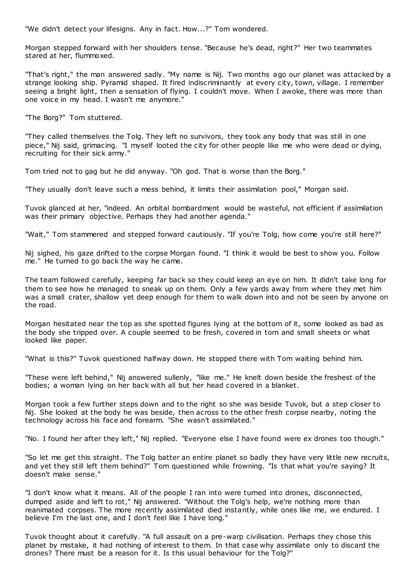"We didn't detect your lifesigns. Any in fact. How...?" Tom wondered.

Morgan stepped forward with her shoulders tense. "Because he's dead, right?" Her two teammates stared at her, flummoxed.

"That's right," the man answered sadly. "My name is Nij. Two months ago our planet was attacked by a strange looking ship. Pyramid shaped. It fired indiscriminantly at every city, town, village. I remember seeing a bright light, then a sensation of flying. I couldn't move. When I awoke, there was more than one voice in my head. I wasn't me anymore."

"The Borg?" Tom stuttered.

"They called themselves the Tolg. They left no survivors, they took any body that was still in one piece," Nij said, grimacing. "I myself looted the city for other people like me who were dead or dying, recruiting for their sick army."

Tom tried not to gag but he did anyway. "Oh god. That is worse than the Borg."

"They usually don't leave such a mess behind, it limits their assimilation pool," Morgan said.

Tuvok glanced at her, "indeed. An orbital bombardment would be wasteful, not efficient if assimilation was their primary objective. Perhaps they had another agenda."

"Wait," Tom stammered and stepped forward cautiously. "If you're Tolg, how come you're still here?"

Nij sighed, his gaze drifted to the corpse Morgan found. "I think it would be best to show you. Follow me." He turned to go back the way he came.

The team followed carefully, keeping far back so they could keep an eye on him. It didn't take long for them to see how he managed to sneak up on them. Only a few yards away from where they met him was a small crater, shallow yet deep enough for them to walk down into and not be seen by anyone on the road.

Morgan hesitated near the top as she spotted figures lying at the bottom of it, some looked as bad as the body she tripped over. A couple seemed to be fresh, covered in torn and small sheets or what looked like paper.

"What is this?" Tuvok questioned halfway down. He stopped there with Tom waiting behind him.

"These were left behind," Nij answered sullenly, "like me." He knelt down beside the freshest of the bodies; a woman lying on her back with all but her head covered in a blanket.

Morgan took a few further steps down and to the right so she was beside Tuvok, but a step closer to Nij. She looked at the body he was beside, then across to the other fresh corpse nearby, noting the technology across his face and forearm. "She wasn't assimilated."

"No. I found her after they left," Nij replied. "Everyone else I have found were ex drones too though."

"So let me get this straight. The Tolg batter an entire planet so badly they have very little new recruits, and yet they still left them behind?" Tom questioned while frowning. "Is that what you're saying? It doesn't make sense."

"I don't know what it means. All of the people I ran into were turned into drones, disconnected, dumped aside and left to rot," Nij answered. "Without the Tolg's help, we're nothing more than reanimated corpses. The more recently assimilated died instantly, while ones like me, we endured. I believe I'm the last one, and I don't feel like I have long."

Tuvok thought about it carefully. "A full assault on a pre-warp civilisation. Perhaps they chose this planet by mistake, it had nothing of interest to them. In that case why assimilate only to discard the drones? There must be a reason for it. Is this usual behaviour for the Tolg?"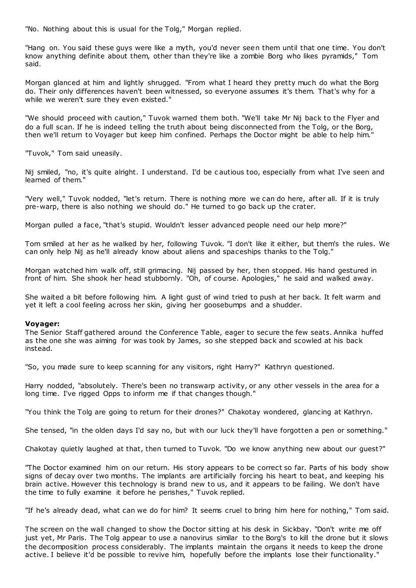"No. Nothing about this is usual for the Tolg," Morgan replied.

"Hang on. You said these guys were like a myth, you'd never seen them until that one time. You don't know anything definite about them, other than they're like a zombie Borg who likes pyramids," Tom said.

Morgan glanced at him and lightly shrugged. "From what I heard they pretty much do what the Borg do. Their only differences haven't been witnessed, so everyone assumes it's them. That's why for a while we weren't sure they even existed."

"We should proceed with caution," Tuvok warned them both. "We'll take Mr Nij back to the Flyer and do a full scan. If he is indeed telling the truth about being disconnected from the Tolg, or the Borg, then we'll return to Voyager but keep him confined. Perhaps the Doctor might be able to help him."

"Tuvok," Tom said uneasily.

Nij smiled, "no, it's quite alright. I understand. I'd be c autious too, especially from what I've seen and learned of them."

"Very well," Tuvok nodded, "let's return. There is nothing more we can do here, after all. If it is truly pre-warp, there is also nothing we should do." He turned to go back up the crater.

Morgan pulled a face, "that's stupid. Wouldn't lesser advanced people need our help more?"

Tom smiled at her as he walked by her, following Tuvok. "I don't like it either, but them's the rules. We can only help Nij as he'll already know about aliens and spaceships thanks to the Tolg."

Morgan watched him walk off, still grimacing. Nij passed by her, then stopped. His hand gestured in front of him. She shook her head stubbornly. "Oh, of course. Apologies," he said and walked away.

She waited a bit before following him. A light gust of wind tried to push at her back. It felt warm and yet it left a cool feeling across her skin, giving her goosebumps and a shudder.

# **Voyager:**

The Senior Staff gathered around the Conference Table, eager to secure the few seats. Annika huffed as the one she was aiming for was took by James, so she stepped back and scowled at his back instead.

"So, you made sure to keep scanning for any visitors, right Harry?" Kathryn questioned.

Harry nodded, "absolutely. There's been no transwarp activity, or any other vessels in the area for a long time. I've rigged Opps to inform me if that changes though."

"You think the Tolg are going to return for their drones?" Chakotay wondered, glancing at Kathryn.

She tensed, "in the olden days I'd say no, but with our luck they'll have forgotten a pen or something."

Chakotay quietly laughed at that, then turned to Tuvok. "Do we know anything new about our guest?"

"The Doctor examined him on our return. His story appears to be correct so far. Parts of his body show signs of decay over two months. The implants are artificially forcing his heart to beat, and keeping his brain active. However this technology is brand new to us, and it appears to be failing. We don't have the time to fully examine it before he perishes," Tuvok replied.

"If he's already dead, what can we do for him? It seems cruel to bring him here for nothing," Tom said.

The screen on the wall changed to show the Doctor sitting at his desk in Sickbay. "Don't write me off just yet, Mr Paris. The Tolg appear to use a nanovirus similar to the Borg's to kill the drone but it slows the decomposition process considerably. The implants maintain the organs it needs to keep the drone active. I believe it'd be possible to revive him, hopefully before the implants lose their functionality."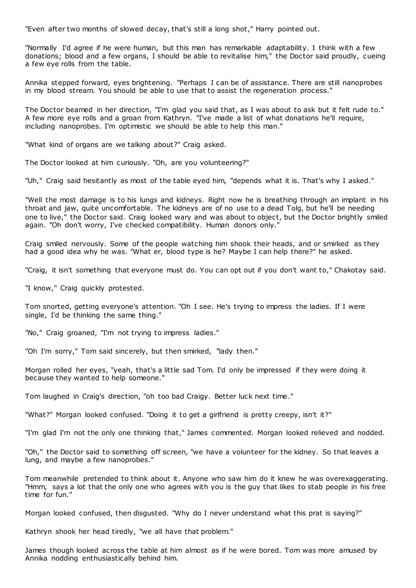"Even after two months of slowed decay, that's still a long shot," Harry pointed out.

"Normally I'd agree if he were human, but this man has remarkable adaptability. I think with a few donations; blood and a few organs, I should be able to revitalise him," the Doctor said proudly, cueing a few eye rolls from the table.

Annika stepped forward, eyes brightening. "Perhaps I can be of assistance. There are still nanoprobes in my blood stream. You should be able to use that to assist the regeneration process."

The Doctor beamed in her direction, "I'm glad you said that, as I was about to ask but it felt rude to." A few more eye rolls and a groan from Kathryn. "I've made a list of what donations he'll require, including nanoprobes. I'm optimistic we should be able to help this man."

"What kind of organs are we talking about?" Craig asked.

The Doctor looked at him curiously. "Oh, are you volunteering?"

"Uh," Craig said hesitantly as most of the table eyed him, "depends what it is. That's why I asked."

"Well the most damage is to his lungs and kidneys. Right now he is breathing through an implant in his throat and jaw, quite uncomfortable. The kidneys are of no use to a dead Tolg, but he'll be needing one to live," the Doctor said. Craig looked wary and was about to object, but the Doctor brightly smiled again. "Oh don't worry, I've checked compatibility. Human donors only."

Craig smiled nervously. Some of the people watching him shook their heads, and or smirked as they had a good idea why he was. "What er, blood type is he? Maybe I can help there?" he asked.

"Craig, it isn't something that everyone must do. You can opt out if you don't want to," Chakotay said.

"I know," Craig quickly protested.

Tom snorted, getting everyone's attention. "Oh I see. He's trying to impress the ladies. If I were single, I'd be thinking the same thing."

"No," Craig groaned, "I'm not trying to impress ladies."

"Oh I'm sorry," Tom said sincerely, but then smirked, "lady then."

Morgan rolled her eyes, "yeah, that's a little sad Tom. I'd only be impressed if they were doing it because they wanted to help someone."

Tom laughed in Craig's direction, "oh too bad Craigy. Better luck next time."

"What?" Morgan looked confused. "Doing it to get a girlfriend is pretty creepy, isn't it?"

"I'm glad I'm not the only one thinking that," James commented. Morgan looked relieved and nodded.

"Oh," the Doctor said to something off screen, "we have a volunteer for the kidney. So that leaves a lung, and maybe a few nanoprobes."

Tom meanwhile pretended to think about it. Anyone who saw him do it knew he was overexaggerating. "Hmm, says a lot that the only one who agrees with you is the guy that likes to stab people in his free time for fun."

Morgan looked confused, then disgusted. "Why do I never understand what this prat is saying?"

Kathryn shook her head tiredly, "we all have that problem."

James though looked across the table at him almost as if he were bored. Tom was more amused by Annika nodding enthusiastically behind him.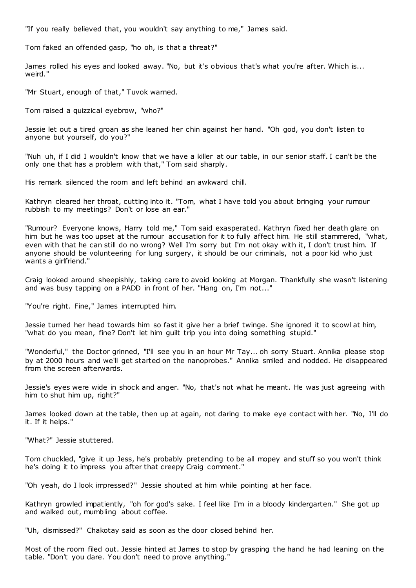"If you really believed that, you wouldn't say anything to me," James said.

Tom faked an offended gasp, "ho oh, is that a threat?"

James rolled his eyes and looked away. "No, but it's obvious that's what you're after. Which is... weird."

"Mr Stuart, enough of that," Tuvok warned.

Tom raised a quizzical eyebrow, "who?"

Jessie let out a tired groan as she leaned her chin against her hand. "Oh god, you don't listen to anyone but yourself, do you?"

"Nuh uh, if I did I wouldn't know that we have a killer at our table, in our senior staff. I can't be the only one that has a problem with that," Tom said sharply.

His remark silenced the room and left behind an awkward chill.

Kathryn cleared her throat, cutting into it. "Tom, what I have told you about bringing your rumour rubbish to my meetings? Don't or lose an ear."

"Rumour? Everyone knows, Harry told me," Tom said exasperated. Kathryn fixed her death glare on him but he was too upset at the rumour accusation for it to fully affect him. He still stammered, "what, even with that he can still do no wrong? Well I'm sorry but I'm not okay with it, I don't trust him. If anyone should be volunteering for lung surgery, it should be our criminals, not a poor kid who just wants a girlfriend."

Craig looked around sheepishly, taking care to avoid looking at Morgan. Thankfully she wasn't listening and was busy tapping on a PADD in front of her. "Hang on, I'm not..."

"You're right. Fine," James interrupted him.

Jessie turned her head towards him so fast it give her a brief twinge. She ignored it to scowl at him, "what do you mean, fine? Don't let him guilt trip you into doing something stupid."

"Wonderful," the Doctor grinned, "I'll see you in an hour Mr Tay... oh sorry Stuart. Annika please stop by at 2000 hours and we'll get started on the nanoprobes." Annika smiled and nodded. He disappeared from the screen afterwards.

Jessie's eyes were wide in shock and anger. "No, that's not what he meant. He was just agreeing with him to shut him up, right?"

James looked down at the table, then up at again, not daring to make eye contact with her. "No, I'll do it. If it helps."

"What?" Jessie stuttered.

Tom chuckled, "give it up Jess, he's probably pretending to be all mopey and stuff so you won't think he's doing it to impress you after that creepy Craig comment."

"Oh yeah, do I look impressed?" Jessie shouted at him while pointing at her face.

Kathryn growled impatiently, "oh for god's sake. I feel like I'm in a bloody kindergarten." She got up and walked out, mumbling about coffee.

"Uh, dismissed?" Chakotay said as soon as the door closed behind her.

Most of the room filed out. Jessie hinted at James to stop by grasping t he hand he had leaning on the table. "Don't you dare. You don't need to prove anything."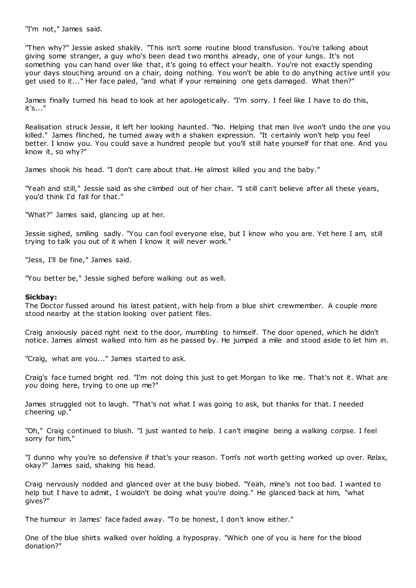"I'm not," James said.

"Then why?" Jessie asked shakily. "This isn't some routine blood transfusion. You're talking about giving some stranger, a guy who's been dead two months already, one of your lungs. It's not something you can hand over like that, it's going to effect your health. You're not exactly spending your days slouching around on a chair, doing nothing. You won't be able to do anything active until you get used to it..." Her face paled, "and what if your remaining one gets damaged. What then?"

James finally turned his head to look at her apologetically. "I'm sorry. I feel like I have to do this, it's..."

Realisation struck Jessie, it left her looking haunted. "No. Helping that man live won't undo the one you killed." James flinched, he turned away with a shaken expression. "It certainly won't help you feel better. I know you. You could save a hundred people but you'll still hate yourself for that one. And you know it, so why?"

James shook his head. "I don't care about that. He almost killed you and the baby."

"Yeah and still," Jessie said as she climbed out of her chair. "I still can't believe after all these years, you'd think I'd fall for that."

"What?" James said, glancing up at her.

Jessie sighed, smiling sadly. "You can fool everyone else, but I know who you are. Yet here I am, still trying to talk you out of it when I know it will never work."

"Jess, I'll be fine," James said.

"You better be," Jessie sighed before walking out as well.

#### **Sickbay:**

The Doctor fussed around his latest patient, with help from a blue shirt crewmember. A couple more stood nearby at the station looking over patient files.

Craig anxiously paced right next to the door, mumbling to himself. The door opened, which he didn't notice. James almost walked into him as he passed by. He jumped a mile and stood aside to let him in.

"Craig, what are you..." James started to ask.

Craig's face turned bright red. "I'm not doing this just to get Morgan to like me. That's not it. What are *you* doing here, trying to one up me?"

James struggled not to laugh. "That's not what I was going to ask, but thanks for that. I needed cheering up."

"Oh," Craig continued to blush. "I just wanted to help. I can't imagine being a walking corpse. I feel sorry for him."

"I dunno why you're so defensive if that's your reason. Tom's not worth getting worked up over. Relax, okay?" James said, shaking his head.

Craig nervously nodded and glanced over at the busy biobed. "Yeah, mine's not too bad. I wanted to help but I have to admit, I wouldn't be doing what you're doing." He glanced back at him, "what gives?"

The humour in James' face faded away. "To be honest, I don't know either."

One of the blue shirts walked over holding a hypospray. "Which one of you is here for the blood donation?"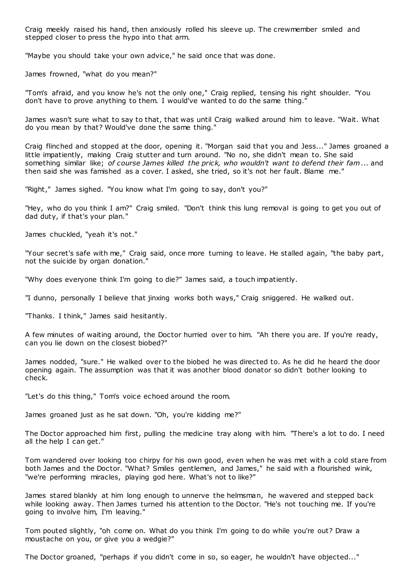Craig meekly raised his hand, then anxiously rolled his sleeve up. The crewmember smiled and stepped closer to press the hypo into that arm.

"Maybe you should take your own advice," he said once that was done.

James frowned, "what do you mean?"

"Tom's afraid, and you know he's not the only one," Craig replied, tensing his right shoulder. "You don't have to prove anything to them. I would've wanted to do the same thing."

James wasn't sure what to say to that, that was until Craig walked around him to leave. "Wait. What do you mean by that? Would've done the same thing."

Craig flinched and stopped at the door, opening it. "Morgan said that you and Jess..." James groaned a little impatiently, making Craig stutter and turn around. "No no, she didn't mean to. She said something similar like; *of course James killed the prick, who wouldn't want to defend their fam*... and then said she was famished as a cover. I asked, she tried, so it's not her fault. Blame me."

"Right," James sighed. "You know what I'm going to say, don't you?"

"Hey, who do you think I am?" Craig smiled. "Don't think this lung removal is going to get you out of dad duty, if that's your plan."

James chuckled, "yeah it's not."

"Your secret's safe with me," Craig said, once more turning to leave. He stalled again, "the baby part, not the suicide by organ donation."

"Why does everyone think I'm going to die?" James said, a touch impatiently.

"I dunno, personally I believe that jinxing works both ways," Craig sniggered. He walked out.

"Thanks. I think," James said hesitantly.

A few minutes of waiting around, the Doctor hurried over to him. "Ah there you are. If you're ready, can you lie down on the closest biobed?"

James nodded, "sure." He walked over to the biobed he was directed to. As he did he heard the door opening again. The assumption was that it was another blood donator so didn't bother looking to check.

"Let's do this thing," Tom's voice echoed around the room.

James groaned just as he sat down. "Oh, you're kidding me?"

The Doctor approached him first, pulling the medicine tray along with him. "There's a lot to do. I need all the help I can get."

Tom wandered over looking too chirpy for his own good, even when he was met with a cold stare from both James and the Doctor. "What? Smiles gentlemen, and James," he said with a flourished wink, "we're performing miracles, playing god here. What's not to like?"

James stared blankly at him long enough to unnerve the helmsman, he wavered and stepped back while looking away. Then James turned his attention to the Doctor. "He's not touching me. If you're going to involve him, I'm leaving."

Tom pouted slightly, "oh come on. What do you think I'm going to do while you're out? Draw a moustache on you, or give you a wedgie?"

The Doctor groaned, "perhaps if you didn't come in so, so eager, he wouldn't have objected..."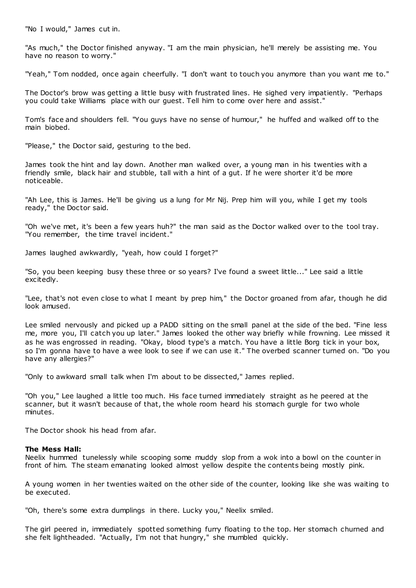"No I would," James cut in.

"As much," the Doctor finished anyway. "I am the main physician, he'll merely be assisting me. You have no reason to worry."

"Yeah," Tom nodded, once again cheerfully. "I don't want to touch you anymore than you want me to."

The Doctor's brow was getting a little busy with frustrated lines. He sighed very impatiently. "Perhaps you could take Williams place with our guest. Tell him to come over here and assist."

Tom's face and shoulders fell. "You guys have no sense of humour," he huffed and walked off to the main biobed.

"Please," the Doctor said, gesturing to the bed.

James took the hint and lay down. Another man walked over, a young man in his twenties with a friendly smile, black hair and stubble, tall with a hint of a gut. If he were shorter it'd be more noticeable.

"Ah Lee, this is James. He'll be giving us a lung for Mr Nij. Prep him will you, while I get my tools ready," the Doctor said.

"Oh we've met, it's been a few years huh?" the man said as the Doctor walked over to the tool tray. "You remember, the time travel incident."

James laughed awkwardly, "yeah, how could I forget?"

"So, you been keeping busy these three or so years? I've found a sweet little..." Lee said a little excitedly.

"Lee, that's not even close to what I meant by prep him," the Doctor groaned from afar, though he did look amused.

Lee smiled nervously and picked up a PADD sitting on the small panel at the side of the bed. "Fine less me, more you, I'll catch you up later." James looked the other way briefly while frowning. Lee missed it as he was engrossed in reading. "Okay, blood type's a match. You have a little Borg tick in your box, so I'm gonna have to have a wee look to see if we can use it." The overbed scanner turned on. "Do you have any allergies?"

"Only to awkward small talk when I'm about to be dissected," James replied.

"Oh you," Lee laughed a little too much. His face turned immediately straight as he peered at the scanner, but it wasn't because of that, the whole room heard his stomach gurgle for two whole minutes.

The Doctor shook his head from afar.

# **The Mess Hall:**

Neelix hummed tunelessly while scooping some muddy slop from a wok into a bowl on the counter in front of him. The steam emanating looked almost yellow despite the contents being mostly pink.

A young women in her twenties waited on the other side of the counter, looking like she was waiting to be executed.

"Oh, there's some extra dumplings in there. Lucky you," Neelix smiled.

The girl peered in, immediately spotted something furry floating to the top. Her stomach churned and she felt lightheaded. "Actually, I'm not that hungry," she mumbled quickly.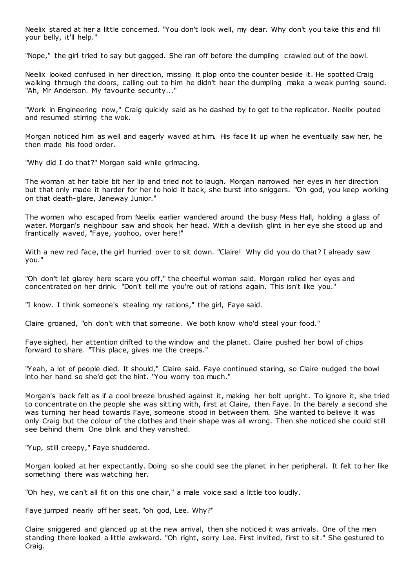Neelix stared at her a little concerned. "You don't look well, my dear. Why don't you take this and fill your belly, it'll help."

"Nope," the girl tried to say but gagged. She ran off before the dumpling crawled out of the bowl.

Neelix looked confused in her direction, missing it plop onto the counter beside it. He spotted Craig walking through the doors, calling out to him he didn't hear the dumpling make a weak purring sound. "Ah, Mr Anderson. My favourite security..."

"Work in Engineering now," Craig quickly said as he dashed by to get to the replicator. Neelix pouted and resumed stirring the wok.

Morgan noticed him as well and eagerly waved at him. His face lit up when he eventually saw her, he then made his food order.

"Why did I do that?" Morgan said while grimacing.

The woman at her table bit her lip and tried not to laugh. Morgan narrowed her eyes in her direction but that only made it harder for her to hold it back, she burst into sniggers. "Oh god, you keep working on that death-glare, Janeway Junior."

The women who escaped from Neelix earlier wandered around the busy Mess Hall, holding a glass of water. Morgan's neighbour saw and shook her head. With a devilish glint in her eye she stood up and frantically waved, "Faye, yoohoo, over here!"

With a new red face, the girl hurried over to sit down. "Claire! Why did you do that? I already saw you."

"Oh don't let glarey here scare you off," the cheerful woman said. Morgan rolled her eyes and concentrated on her drink. "Don't tell me you're out of rations again. This isn't like you."

"I know. I think someone's stealing my rations," the girl, Faye said.

Claire groaned, "oh don't with that someone. We both know who'd steal your food."

Faye sighed, her attention drifted to the window and the planet. Claire pushed her bowl of chips forward to share. "This place, gives me the creeps."

"Yeah, a lot of people died. It should," Claire said. Faye continued staring, so Claire nudged the bowl into her hand so she'd get the hint. "You worry too much."

Morgan's back felt as if a cool breeze brushed against it, making her bolt upright. To ignore it, she tried to concentrate on the people she was sitting with, first at Claire, then Faye. In the barely a second she was turning her head towards Faye, someone stood in between them. She wanted to believe it was only Craig but the colour of the clothes and their shape was all wrong. Then she noticed she could still see behind them. One blink and they vanished.

"Yup, still creepy," Faye shuddered.

Morgan looked at her expectantly. Doing so she could see the planet in her peripheral. It felt to her like something there was watching her.

"Oh hey, we can't all fit on this one chair," a male voice said a little too loudly.

Faye jumped nearly off her seat, "oh god, Lee. Why?"

Claire sniggered and glanced up at the new arrival, then she noticed it was arrivals. One of the men standing there looked a little awkward. "Oh right, sorry Lee. First invited, first to sit." She gestured to Craig.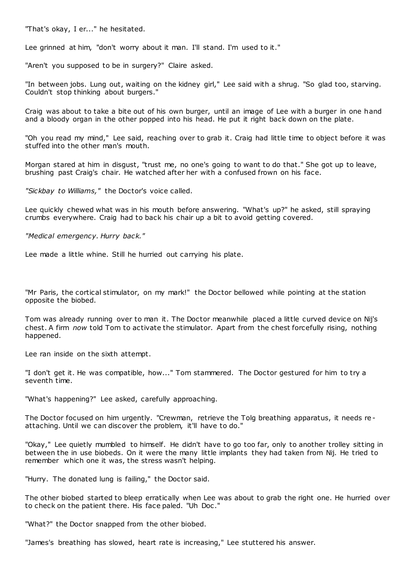"That's okay, I er..." he hesitated.

Lee grinned at him, "don't worry about it man. I'll stand. I'm used to it."

"Aren't you supposed to be in surgery?" Claire asked.

"In between jobs. Lung out, waiting on the kidney girl," Lee said with a shrug. "So glad too, starving. Couldn't stop thinking about burgers."

Craig was about to take a bite out of his own burger, until an image of Lee with a burger in one hand and a bloody organ in the other popped into his head. He put it right back down on the plate.

"Oh you read my mind," Lee said, reaching over to grab it. Craig had little time to object before it was stuffed into the other man's mouth.

Morgan stared at him in disgust, "trust me, no one's going to want to do that." She got up to leave, brushing past Craig's chair. He watched after her with a confused frown on his face.

*"Sickbay to Williams,"* the Doctor's voice called.

Lee quickly chewed what was in his mouth before answering. "What's up?" he asked, still spraying crumbs everywhere. Craig had to back his chair up a bit to avoid getting covered.

*"Medical emergency. Hurry back."*

Lee made a little whine. Still he hurried out carrying his plate.

"Mr Paris, the cortical stimulator, on my mark!" the Doctor bellowed while pointing at the station opposite the biobed.

Tom was already running over to man it. The Doctor meanwhile placed a little curved device on Nij's chest. A firm *now* told Tom to activate the stimulator. Apart from the chest forcefully rising, nothing happened.

Lee ran inside on the sixth attempt.

"I don't get it. He was compatible, how..." Tom stammered. The Doctor gestured for him to try a seventh time.

"What's happening?" Lee asked, carefully approaching.

The Doctor focused on him urgently. "Crewman, retrieve the Tolg breathing apparatus, it needs reattaching. Until we can discover the problem, it'll have to do."

"Okay," Lee quietly mumbled to himself. He didn't have to go too far, only to another trolley sitting in between the in use biobeds. On it were the many little implants they had taken from Nij. He tried to remember which one it was, the stress wasn't helping.

"Hurry. The donated lung is failing," the Doctor said.

The other biobed started to bleep erratically when Lee was about to grab the right one. He hurried over to check on the patient there. His face paled. "Uh Doc ."

"What?" the Doctor snapped from the other biobed.

"James's breathing has slowed, heart rate is increasing," Lee stuttered his answer.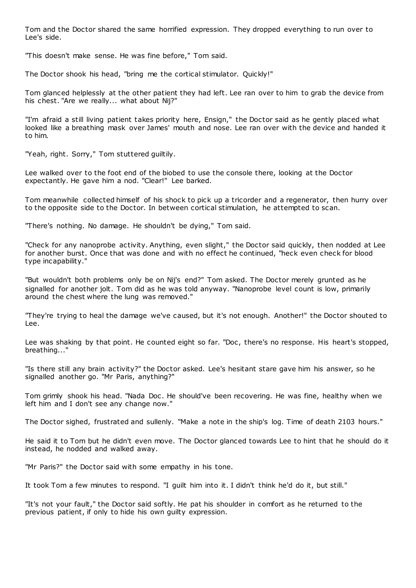Tom and the Doctor shared the same horrified expression. They dropped everything to run over to Lee's side.

"This doesn't make sense. He was fine before," Tom said.

The Doctor shook his head, "bring me the cortical stimulator. Quickly!"

Tom glanced helplessly at the other patient they had left. Lee ran over to him to grab the device from his chest. "Are we really... what about Nij?"

"I'm afraid a still living patient takes priority here, Ensign," the Doctor said as he gently placed what looked like a breathing mask over James' mouth and nose. Lee ran over with the device and handed it to him.

"Yeah, right. Sorry," Tom stuttered guiltily.

Lee walked over to the foot end of the biobed to use the console there, looking at the Doctor expectantly. He gave him a nod. "Clear!" Lee barked.

Tom meanwhile collected himself of his shock to pick up a tricorder and a regenerator, then hurry over to the opposite side to the Doctor. In between cortical stimulation, he attempted to scan.

"There's nothing. No damage. He shouldn't be dying," Tom said.

"Check for any nanoprobe activity. Anything, even slight," the Doctor said quickly, then nodded at Lee for another burst. Once that was done and with no effect he continued, "heck even check for blood type incapability."

"But wouldn't both problems only be on Nij's end?" Tom asked. The Doctor merely grunted as he signalled for another jolt. Tom did as he was told anyway. "Nanoprobe level count is low, primarily around the chest where the lung was removed."

"They're trying to heal the damage we've caused, but it's not enough. Another!" the Doctor shouted to Lee.

Lee was shaking by that point. He counted eight so far. "Doc, there's no response. His heart's stopped, breathing..."

"Is there still any brain activity?" the Doctor asked. Lee's hesitant stare gave him his answer, so he signalled another go. "Mr Paris, anything?"

Tom grimly shook his head. "Nada Doc . He should've been recovering. He was fine, healthy when we left him and I don't see any change now."

The Doctor sighed, frustrated and sullenly. "Make a note in the ship's log. Time of death 2103 hours."

He said it to Tom but he didn't even move. The Doctor glanced towards Lee to hint that he should do it instead, he nodded and walked away.

"Mr Paris?" the Doctor said with some empathy in his tone.

It took Tom a few minutes to respond. "I guilt him into it. I didn't think he'd do it, but still."

"It's not your fault," the Doctor said softly. He pat his shoulder in comfort as he returned to the previous patient, if only to hide his own guilty expression.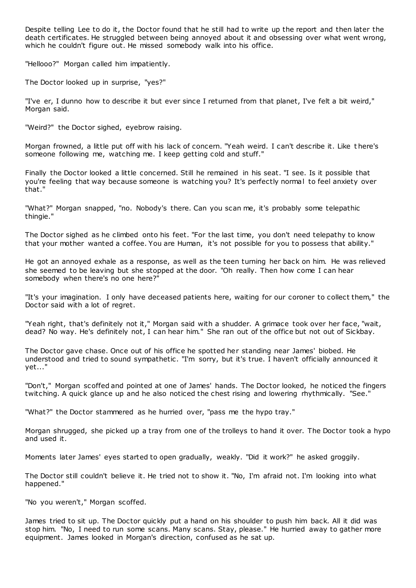Despite telling Lee to do it, the Doctor found that he still had to write up the report and then later the death certificates. He struggled between being annoyed about it and obsessing over what went wrong, which he couldn't figure out. He missed somebody walk into his office.

"Hellooo?" Morgan called him impatiently.

The Doctor looked up in surprise, "yes?"

"I've er, I dunno how to describe it but ever since I returned from that planet, I've felt a bit weird," Morgan said.

"Weird?" the Doctor sighed, eyebrow raising.

Morgan frowned, a little put off with his lack of concern. "Yeah weird. I can't describe it. Like t here's someone following me, watching me. I keep getting cold and stuff."

Finally the Doctor looked a little concerned. Still he remained in his seat. "I see. Is it possible that you're feeling that way because someone is watching you? It's perfectly normal to feel anxiety over that."

"What?" Morgan snapped, "no. Nobody's there. Can you scan me, it's probably some telepathic thingie."

The Doctor sighed as he climbed onto his feet. "For the last time, you don't need telepathy to know that your mother wanted a coffee. You are Human, it's not possible for you to possess that ability."

He got an annoyed exhale as a response, as well as the teen turning her back on him. He was relieved she seemed to be leaving but she stopped at the door. "Oh really. Then how come I can hear somebody when there's no one here?"

"It's your imagination. I only have deceased patients here, waiting for our coroner to collect them," the Doctor said with a lot of regret.

"Yeah right, that's definitely not it," Morgan said with a shudder. A grimace took over her face, "wait, dead? No way. He's definitely not, I can hear him." She ran out of the office but not out of Sickbay.

The Doctor gave chase. Once out of his office he spotted her standing near James' biobed. He understood and tried to sound sympathetic. "I'm sorry, but it's true. I haven't officially announced it yet..."

"Don't," Morgan scoffed and pointed at one of James' hands. The Doctor looked, he noticed the fingers twitching. A quick glance up and he also noticed the chest rising and lowering rhythmically. "See."

"What?" the Doctor stammered as he hurried over, "pass me the hypo tray."

Morgan shrugged, she picked up a tray from one of the trolleys to hand it over. The Doctor took a hypo and used it.

Moments later James' eyes started to open gradually, weakly. "Did it work?" he asked groggily.

The Doctor still couldn't believe it. He tried not to show it. "No, I'm afraid not. I'm looking into what happened."

"No you weren't," Morgan scoffed.

James tried to sit up. The Doctor quickly put a hand on his shoulder to push him back. All it did was stop him. "No, I need to run some scans. Many scans. Stay, please." He hurried away to gather more equipment. James looked in Morgan's direction, confused as he sat up.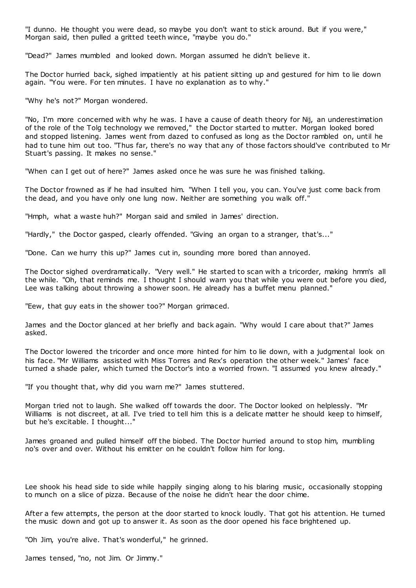"I dunno. He thought you were dead, so maybe you don't want to stick around. But if you were," Morgan said, then pulled a gritted teeth wince, "maybe you do."

"Dead?" James mumbled and looked down. Morgan assumed he didn't believe it.

The Doctor hurried back, sighed impatiently at his patient sitting up and gestured for him to lie down again. "You were. For ten minutes. I have no explanation as to why."

"Why he's not?" Morgan wondered.

"No, I'm more concerned with why he was. I have a cause of death theory for Nij, an underestimation of the role of the Tolg technology we removed," the Doctor started to mutter. Morgan looked bored and stopped listening. James went from dazed to confused as long as the Doctor rambled on, until he had to tune him out too. "Thus far, there's no way that any of those factors should've contributed to Mr Stuart's passing. It makes no sense."

"When can I get out of here?" James asked once he was sure he was finished talking.

The Doctor frowned as if he had insulted him. "When I tell you, you can. You've just come back from the dead, and you have only one lung now. Neither are something you walk off."

"Hmph, what a waste huh?" Morgan said and smiled in James' direction.

"Hardly," the Doctor gasped, clearly offended. "Giving an organ to a stranger, that's..."

"Done. Can we hurry this up?" James cut in, sounding more bored than annoyed.

The Doctor sighed overdramatically. "Very well." He started to scan with a tricorder, making hmm's all the while. "Oh, that reminds me. I thought I should warn you that while you were out before you died, Lee was talking about throwing a shower soon. He already has a buffet menu planned."

"Eew, that guy eats in the shower too?" Morgan grimaced.

James and the Doctor glanced at her briefly and back again. "Why would I care about that?" James asked.

The Doctor lowered the tricorder and once more hinted for him to lie down, with a judgmental look on his face. "Mr Williams assisted with Miss Torres and Rex's operation the other week." James' face turned a shade paler, which turned the Doctor's into a worried frown. "I assumed you knew already."

"If you thought that, why did you warn me?" James stuttered.

Morgan tried not to laugh. She walked off towards the door. The Doctor looked on helplessly. "Mr Williams is not discreet, at all. I've tried to tell him this is a delicate matter he should keep to himself, but he's excitable. I thought..."

James groaned and pulled himself off the biobed. The Doctor hurried around to stop him, mumbling no's over and over. Without his emitter on he couldn't follow him for long.

Lee shook his head side to side while happily singing along to his blaring music, occasionally stopping to munch on a slice of pizza. Because of the noise he didn't hear the door chime.

After a few attempts, the person at the door started to knock loudly. That got his attention. He turned the music down and got up to answer it. As soon as the door opened his face brightened up.

"Oh Jim, you're alive. That's wonderful," he grinned.

James tensed, "no, not Jim. Or Jimmy."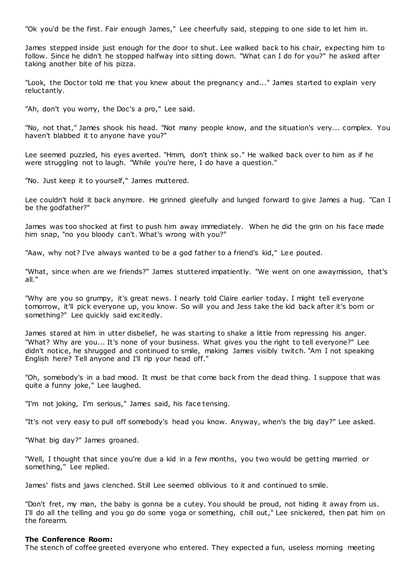"Ok you'd be the first. Fair enough James," Lee cheerfully said, stepping to one side to let him in.

James stepped inside just enough for the door to shut. Lee walked back to his chair, expecting him to follow. Since he didn't he stopped halfway into sitting down. "What can I do for you?" he asked after taking another bite of his pizza.

"Look, the Doctor told me that you knew about the pregnancy and..." James started to explain very reluctantly.

"Ah, don't you worry, the Doc's a pro," Lee said.

"No, not that," James shook his head. "Not many people know, and the situation's very... complex. You haven't blabbed it to anyone have you?"

Lee seemed puzzled, his eyes averted. "Hmm, don't think so." He walked back over to him as if he were struggling not to laugh. "While you're here, I do have a question."

"No. Just keep it to yourself," James muttered.

Lee couldn't hold it back anymore. He grinned gleefully and lunged forward to give James a hug. "Can I be the godfather?"

James was too shocked at first to push him away immediately. When he did the grin on his face made him snap, "no you bloody can't. What's wrong with you?"

"Aaw, why not? I've always wanted to be a god father to a friend's kid," Lee pouted.

"What, since when are we friends?" James stuttered impatiently. "We went on one awaymission, that's all."

"Why are you so grumpy, it's great news. I nearly told Claire earlier today. I might tell everyone tomorrow, it'll pick everyone up, you know. So will you and Jess take the kid back after it's born or something?" Lee quickly said excitedly.

James stared at him in utter disbelief, he was starting to shake a little from repressing his anger. "What? Why are you... It's none of your business. What gives you the right to tell everyone?" Lee didn't notice, he shrugged and continued to smile, making James visibly twitch. "Am I not speaking English here? Tell anyone and I'll rip your head off."

"Oh, somebody's in a bad mood. It must be that come back from the dead thing. I suppose that was quite a funny joke," Lee laughed.

"I'm not joking, I'm serious," James said, his face tensing.

"It's not very easy to pull off somebody's head you know. Anyway, when's the big day?" Lee asked.

"What big day?" James groaned.

"Well, I thought that since you're due a kid in a few months, you two would be getting married or something," Lee replied.

James' fists and jaws clenched. Still Lee seemed oblivious to it and continued to smile.

"Don't fret, my man, the baby is gonna be a cutey. You should be proud, not hiding it away from us. I'll do all the telling and you go do some yoga or something, chill out," Lee snickered, then pat him on the forearm.

#### **The Conference Room:**

The stench of coffee greeted everyone who entered. They expected a fun, useless morning meeting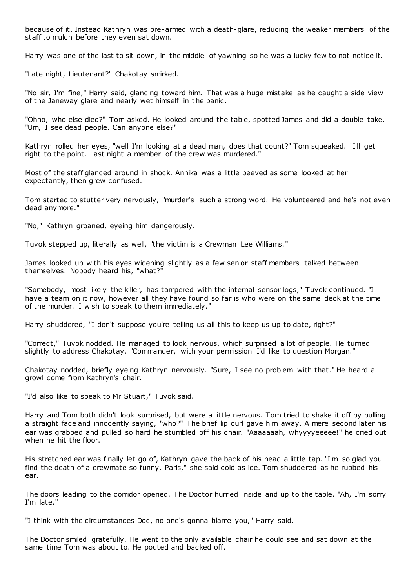because of it. Instead Kathryn was pre-armed with a death-glare, reducing the weaker members of the staff to mulch before they even sat down.

Harry was one of the last to sit down, in the middle of yawning so he was a lucky few to not notice it.

"Late night, Lieutenant?" Chakotay smirked.

"No sir, I'm fine," Harry said, glancing toward him. That was a huge mistake as he caught a side view of the Janeway glare and nearly wet himself in the panic .

"Ohno, who else died?" Tom asked. He looked around the table, spotted James and did a double take. "Um, I see dead people. Can anyone else?"

Kathryn rolled her eyes, "well I'm looking at a dead man, does that count?" Tom squeaked. "I'll get right to the point. Last night a member of the crew was murdered."

Most of the staff glanced around in shock. Annika was a little peeved as some looked at her expectantly, then grew confused.

Tom started to stutter very nervously, "murder's such a strong word. He volunteered and he's not even dead anymore."

"No," Kathryn groaned, eyeing him dangerously.

Tuvok stepped up, literally as well, "the victim is a Crewman Lee Williams."

James looked up with his eyes widening slightly as a few senior staff members talked between themselves. Nobody heard his, "what?"

"Somebody, most likely the killer, has tampered with the internal sensor logs," Tuvok continued. "I have a team on it now, however all they have found so far is who were on the same deck at the time of the murder. I wish to speak to them immediately."

Harry shuddered, "I don't suppose you're telling us all this to keep us up to date, right?"

"Correct," Tuvok nodded. He managed to look nervous, which surprised a lot of people. He turned slightly to address Chakotay, "Commander, with your permission I'd like to question Morgan."

Chakotay nodded, briefly eyeing Kathryn nervously. "Sure, I see no problem with that." He heard a growl come from Kathryn's chair.

"I'd also like to speak to Mr Stuart," Tuvok said.

Harry and Tom both didn't look surprised, but were a little nervous. Tom tried to shake it off by pulling a straight face and innocently saying, "who?" The brief lip curl gave him away. A mere second later his ear was grabbed and pulled so hard he stumbled off his chair. "Aaaaaaah, whyyyyeeeee!" he cried out when he hit the floor.

His stretched ear was finally let go of, Kathryn gave the back of his head a little tap. "I'm so glad you find the death of a crewmate so funny, Paris," she said cold as ice. Tom shuddered as he rubbed his ear.

The doors leading to the corridor opened. The Doctor hurried inside and up to the table. "Ah, I'm sorry I'm late."

"I think with the circumstances Doc , no one's gonna blame you," Harry said.

The Doctor smiled gratefully. He went to the only available chair he could see and sat down at the same time Tom was about to. He pouted and backed off.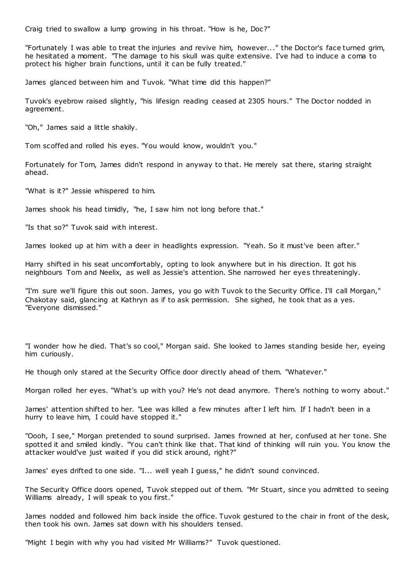Craig tried to swallow a lump growing in his throat. "How is he, Doc?"

"Fortunately I was able to treat the injuries and revive him, however..." the Doctor's face turned grim, he hesitated a moment. "The damage to his skull was quite extensive. I've had to induce a coma to protect his higher brain functions, until it can be fully treated."

James glanced between him and Tuvok. "What time did this happen?"

Tuvok's eyebrow raised slightly, "his lifesign reading ceased at 2305 hours." The Doctor nodded in agreement.

"Oh," James said a little shakily.

Tom scoffed and rolled his eyes. "You would know, wouldn't you."

Fortunately for Tom, James didn't respond in anyway to that. He merely sat there, staring straight ahead.

"What is it?" Jessie whispered to him.

James shook his head timidly, "he, I saw him not long before that."

"Is that so?" Tuvok said with interest.

James looked up at him with a deer in headlights expression. "Yeah. So it must've been after."

Harry shifted in his seat uncomfortably, opting to look anywhere but in his direction. It got his neighbours Tom and Neelix, as well as Jessie's attention. She narrowed her eyes threateningly.

"I'm sure we'll figure this out soon. James, you go with Tuvok to the Security Office. I'll call Morgan," Chakotay said, glancing at Kathryn as if to ask permission. She sighed, he took that as a yes. "Everyone dismissed."

"I wonder how he died. That's so cool," Morgan said. She looked to James standing beside her, eyeing him curiously.

He though only stared at the Security Office door directly ahead of them. "Whatever."

Morgan rolled her eyes. "What's up with you? He's not dead anymore. There's nothing to worry about."

James' attention shifted to her. "Lee was killed a few minutes after I left him. If I hadn't been in a hurry to leave him, I could have stopped it."

"Oooh, I see," Morgan pretended to sound surprised. James frowned at her, confused at her tone. She spotted it and smiled kindly. "You can't think like that. That kind of thinking will ruin you. You know the attacker would've just waited if you did stick around, right?"

James' eyes drifted to one side. "I... well yeah I guess," he didn't sound convinced.

The Security Office doors opened, Tuvok stepped out of them. "Mr Stuart, since you admitted to seeing Williams already, I will speak to you first."

James nodded and followed him back inside the office. Tuvok gestured to the chair in front of the desk, then took his own. James sat down with his shoulders tensed.

"Might I begin with why you had visited Mr Williams?" Tuvok questioned.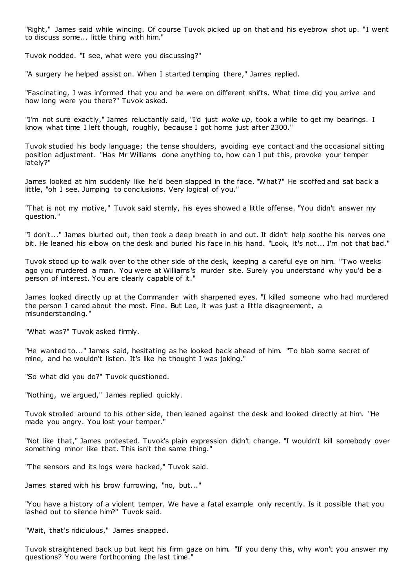"Right," James said while wincing. Of course Tuvok picked up on that and his eyebrow shot up. "I went to discuss some... little thing with him."

Tuvok nodded. "I see, what were you discussing?"

"A surgery he helped assist on. When I started temping there," James replied.

"Fascinating, I was informed that you and he were on different shifts. What time did you arrive and how long were you there?" Tuvok asked.

"I'm not sure exactly," James reluctantly said, "I'd just *woke up*, took a while to get my bearings. I know what time I left though, roughly, because I got home just after 2300."

Tuvok studied his body language; the tense shoulders, avoiding eye contact and the occasional sitting position adjustment. "Has Mr Williams done anything to, how can I put this, provoke your temper lately?"

James looked at him suddenly like he'd been slapped in the face. "What?" He scoffed and sat back a little, "oh I see. Jumping to conclusions. Very logical of you."

"That is not my motive," Tuvok said sternly, his eyes showed a little offense. "You didn't answer my question."

"I don't..." James blurted out, then took a deep breath in and out. It didn't help soothe his nerves one bit. He leaned his elbow on the desk and buried his face in his hand. "Look, it's not... I'm not that bad."

Tuvok stood up to walk over to the other side of the desk, keeping a careful eye on him. "Two weeks ago you murdered a man. You were at Williams's murder site. Surely you understand why you'd be a person of interest. You are clearly capable of it."

James looked directly up at the Commander with sharpened eyes. "I killed someone who had murdered the person I cared about the most. Fine. But Lee, it was just a little disagreement, a misunderstanding."

"What was?" Tuvok asked firmly.

"He wanted to..." James said, hesitating as he looked back ahead of him. "To blab some secret of mine, and he wouldn't listen. It's like he thought I was joking."

"So what did you do?" Tuvok questioned.

"Nothing, we argued," James replied quickly.

Tuvok strolled around to his other side, then leaned against the desk and looked directly at him. "He made you angry. You lost your temper."

"Not like that," James protested. Tuvok's plain expression didn't change. "I wouldn't kill somebody over something minor like that. This isn't the same thing."

"The sensors and its logs were hacked," Tuvok said.

James stared with his brow furrowing, "no, but..."

"You have a history of a violent temper. We have a fatal example only recently. Is it possible that you lashed out to silence him?" Tuvok said.

"Wait, that's ridiculous," James snapped.

Tuvok straightened back up but kept his firm gaze on him. "If you deny this, why won't you answer my questions? You were forthcoming the last time."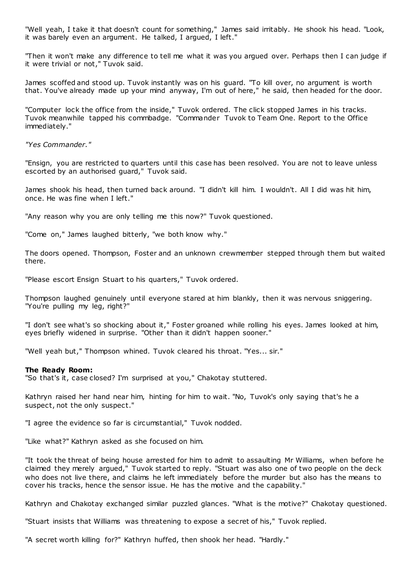"Well yeah, I take it that doesn't count for something," James said irritably. He shook his head. "Look, it was barely even an argument. He talked, I argued, I left."

"Then it won't make any difference to tell me what it was you argued over. Perhaps then I can judge if it were trivial or not," Tuvok said.

James scoffed and stood up. Tuvok instantly was on his guard. "To kill over, no argument is worth that. You've already made up your mind anyway, I'm out of here," he said, then headed for the door.

"Computer lock the office from the inside," Tuvok ordered. The click stopped James in his tracks. Tuvok meanwhile tapped his commbadge. "Commander Tuvok to Team One. Report to the Office immediately."

*"Yes Commander."*

"Ensign, you are restricted to quarters until this case has been resolved. You are not to leave unless escorted by an authorised guard," Tuvok said.

James shook his head, then turned back around. "I didn't kill him. I wouldn't. All I did was hit him, once. He was fine when I left."

"Any reason why you are only telling me this now?" Tuvok questioned.

"Come on," James laughed bitterly, "we both know why."

The doors opened. Thompson, Foster and an unknown crewmember stepped through them but waited there.

"Please escort Ensign Stuart to his quarters," Tuvok ordered.

Thompson laughed genuinely until everyone stared at him blankly, then it was nervous sniggering. "You're pulling my leg, right?"

"I don't see what's so shocking about it," Foster groaned while rolling his eyes. James looked at him, eyes briefly widened in surprise. "Other than it didn't happen sooner."

"Well yeah but," Thompson whined. Tuvok cleared his throat. "Yes... sir."

#### **The Ready Room:**

"So that's it, case closed? I'm surprised at you," Chakotay stuttered.

Kathryn raised her hand near him, hinting for him to wait. "No, Tuvok's only saying that's he a suspect, not the only suspect."

"I agree the evidence so far is circumstantial," Tuvok nodded.

"Like what?" Kathryn asked as she focused on him.

"It took the threat of being house arrested for him to admit to assaulting Mr Williams, when before he claimed they merely argued," Tuvok started to reply. "Stuart was also one of two people on the deck who does not live there, and claims he left immediately before the murder but also has the means to cover his tracks, hence the sensor issue. He has the motive and the capability."

Kathryn and Chakotay exchanged similar puzzled glances. "What is the motive?" Chakotay questioned.

"Stuart insists that Williams was threatening to expose a secret of his," Tuvok replied.

"A secret worth killing for?" Kathryn huffed, then shook her head. "Hardly."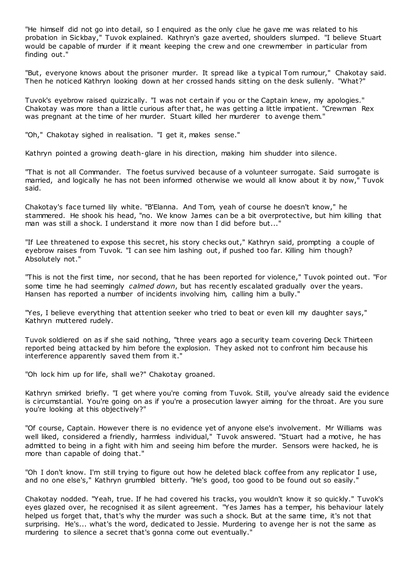"He himself did not go into detail, so I enquired as the only clue he gave me was related to his probation in Sickbay," Tuvok explained. Kathryn's gaze averted, shoulders slumped. "I believe Stuart would be capable of murder if it meant keeping the crew and one crewmember in particular from finding out."

"But, everyone knows about the prisoner murder. It spread like a typical Tom rumour," Chakotay said. Then he noticed Kathryn looking down at her crossed hands sitting on the desk sullenly. "What?"

Tuvok's eyebrow raised quizzically. "I was not certain if you or the Captain knew, my apologies." Chakotay was more than a little curious after that, he was getting a little impatient. "Crewman Rex was pregnant at the time of her murder. Stuart killed her murderer to avenge them."

"Oh," Chakotay sighed in realisation. "I get it, makes sense."

Kathryn pointed a growing death-glare in his direction, making him shudder into silence.

"That is not all Commander. The foetus survived because of a volunteer surrogate. Said surrogate is married, and logically he has not been informed otherwise we would all know about it by now," Tuvok said.

Chakotay's face turned lily white. "B'Elanna. And Tom, yeah of course he doesn't know," he stammered. He shook his head, "no. We know James can be a bit overprotective, but him killing that man was still a shock. I understand it more now than I did before but..."

"If Lee threatened to expose this secret, his story checks out," Kathryn said, prompting a couple of eyebrow raises from Tuvok. "I can see him lashing out, if pushed too far. Killing him though? Absolutely not."

"This is not the first time, nor second, that he has been reported for violence," Tuvok pointed out. "For some time he had seemingly *calmed down*, but has recently escalated gradually over the years. Hansen has reported a number of incidents involving him, calling him a bully."

"Yes, I believe everything that attention seeker who tried to beat or even kill my daughter says," Kathryn muttered rudely.

Tuvok soldiered on as if she said nothing, "three years ago a security team covering Deck Thirteen reported being attacked by him before the explosion. They asked not to confront him because his interference apparently saved them from it."

"Oh lock him up for life, shall we?" Chakotay groaned.

Kathryn smirked briefly. "I get where you're coming from Tuvok. Still, you've already said the evidence is circumstantial. You're going on as if you're a prosecution lawyer aiming for the throat. Are you sure you're looking at this objectively?"

"Of course, Captain. However there is no evidence yet of anyone else's involvement. Mr Williams was well liked, considered a friendly, harmless individual," Tuvok answered. "Stuart had a motive, he has admitted to being in a fight with him and seeing him before the murder. Sensors were hacked, he is more than capable of doing that."

"Oh I don't know. I'm still trying to figure out how he deleted black coffee from any replicator I use, and no one else's," Kathryn grumbled bitterly. "He's good, too good to be found out so easily."

Chakotay nodded. "Yeah, true. If he had covered his tracks, you wouldn't know it so quickly." Tuvok's eyes glazed over, he recognised it as silent agreement. "Yes James has a temper, his behaviour lately helped us forget that, that's why the murder was such a shock. But at the same time, it's not that surprising. He's... what's the word, dedicated to Jessie. Murdering to avenge her is not the same as murdering to silence a secret that's gonna come out eventually."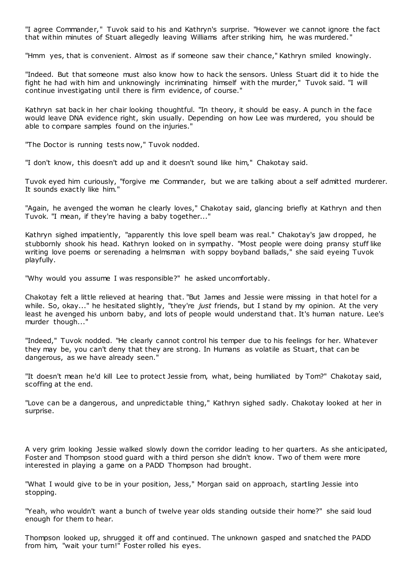"I agree Commander," Tuvok said to his and Kathryn's surprise. "However we cannot ignore the fact that within minutes of Stuart allegedly leaving Williams after striking him, he was murdered."

"Hmm yes, that is convenient. Almost as if someone saw their chance," Kathryn smiled knowingly.

"Indeed. But that someone must also know how to hack the sensors. Unless Stuart did it to hide the fight he had with him and unknowingly incriminating himself with the murder," Tuvok said. "I will continue investigating until there is firm evidence, of course."

Kathryn sat back in her chair looking thoughtful. "In theory, it should be easy. A punch in the face would leave DNA evidence right, skin usually. Depending on how Lee was murdered, you should be able to compare samples found on the injuries."

"The Doctor is running tests now," Tuvok nodded.

"I don't know, this doesn't add up and it doesn't sound like him," Chakotay said.

Tuvok eyed him curiously, "forgive me Commander, but we are talking about a self admitted murderer. It sounds exactly like him."

"Again, he avenged the woman he clearly loves," Chakotay said, glancing briefly at Kathryn and then Tuvok. "I mean, if they're having a baby together..."

Kathryn sighed impatiently, "apparently this love spell beam was real." Chakotay's jaw dropped, he stubbornly shook his head. Kathryn looked on in sympathy. "Most people were doing pransy stuff like writing love poems or serenading a helmsman with soppy boyband ballads," she said eyeing Tuvok playfully.

"Why would you assume I was responsible?" he asked uncomfortably.

Chakotay felt a little relieved at hearing that. "But James and Jessie were missing in that hotel for a while. So, okay..." he hesitated slightly, "they're *just* friends, but I stand by my opinion. At the very least he avenged his unborn baby, and lots of people would understand that. It's human nature. Lee's murder though..."

"Indeed," Tuvok nodded. "He clearly cannot control his temper due to his feelings for her. Whatever they may be, you can't deny that they are strong. In Humans as volatile as Stuart, that can be dangerous, as we have already seen."

"It doesn't mean he'd kill Lee to protect Jessie from, what, being humiliated by Tom?" Chakotay said, scoffing at the end.

"Love can be a dangerous, and unpredictable thing," Kathryn sighed sadly. Chakotay looked at her in surprise.

A very grim looking Jessie walked slowly down the corridor leading to her quarters. As she anticipated, Foster and Thompson stood guard with a third person she didn't know. Two of them were more interested in playing a game on a PADD Thompson had brought.

"What I would give to be in your position, Jess," Morgan said on approach, startling Jessie into stopping.

"Yeah, who wouldn't want a bunch of twelve year olds standing outside their home?" she said loud enough for them to hear.

Thompson looked up, shrugged it off and continued. The unknown gasped and snatched the PADD from him, "wait your turn!" Foster rolled his eyes.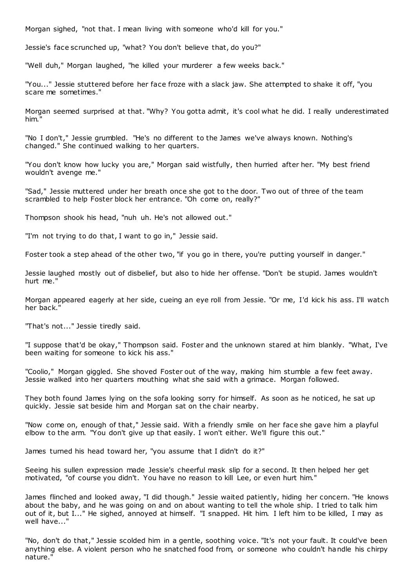Morgan sighed, "not that. I mean living with someone who'd kill for you."

Jessie's face scrunched up, "what? You don't believe that, do you?"

"Well duh," Morgan laughed, "he killed your murderer a few weeks back."

"You..." Jessie stuttered before her face froze with a slack jaw. She attempted to shake it off, "you scare me sometimes."

Morgan seemed surprised at that. "Why? You gotta admit, it's cool what he did. I really underestimated him."

"No I don't," Jessie grumbled. "He's no different to the James we've always known. Nothing's changed." She continued walking to her quarters.

"You don't know how lucky you are," Morgan said wistfully, then hurried after her. "My best friend wouldn't avenge me."

"Sad," Jessie muttered under her breath once she got to the door. Two out of three of the team scrambled to help Foster block her entrance. "Oh come on, really?"

Thompson shook his head, "nuh uh. He's not allowed out."

"I'm not trying to do that, I want to go in," Jessie said.

Foster took a step ahead of the other two, "if you go in there, you're putting yourself in danger."

Jessie laughed mostly out of disbelief, but also to hide her offense. "Don't be stupid. James wouldn't hurt me."

Morgan appeared eagerly at her side, cueing an eye roll from Jessie. "Or me, I'd kick his ass. I'll watch her back."

"That's not..." Jessie tiredly said.

"I suppose that'd be okay," Thompson said. Foster and the unknown stared at him blankly. "What, I've been waiting for someone to kick his ass."

"Coolio," Morgan giggled. She shoved Foster out of the way, making him stumble a few feet away. Jessie walked into her quarters mouthing what she said with a grimace. Morgan followed.

They both found James lying on the sofa looking sorry for himself. As soon as he noticed, he sat up quickly. Jessie sat beside him and Morgan sat on the chair nearby.

"Now come on, enough of that," Jessie said. With a friendly smile on her face she gave him a playful elbow to the arm. "You don't give up that easily. I won't either. We'll figure this out."

James turned his head toward her, "you assume that I didn't do it?"

Seeing his sullen expression made Jessie's cheerful mask slip for a second. It then helped her get motivated, "of course you didn't. You have no reason to kill Lee, or even hurt him."

James flinched and looked away, "I did though." Jessie waited patiently, hiding her concern. "He knows about the baby, and he was going on and on about wanting to tell the whole ship. I tried to talk him out of it, but I..." He sighed, annoyed at himself. "I snapped. Hit him. I left him to be killed, I may as well have..."

"No, don't do that," Jessie scolded him in a gentle, soothing voice. "It's not your fault. It could've been anything else. A violent person who he snatched food from, or someone who couldn't handle his chirpy nature."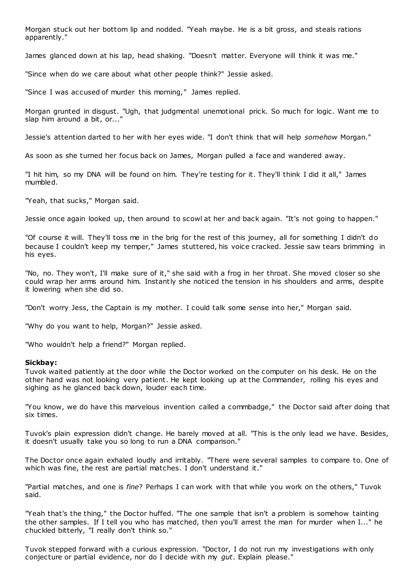Morgan stuck out her bottom lip and nodded. "Yeah maybe. He is a bit gross, and steals rations apparently."

James glanced down at his lap, head shaking. "Doesn't matter. Everyone will think it was me."

"Since when do we care about what other people think?" Jessie asked.

"Since I was accused of murder this morning," James replied.

Morgan grunted in disgust. "Ugh, that judgmental unemotional prick. So much for logic . Want me to slap him around a bit, or..."

Jessie's attention darted to her with her eyes wide. "I don't think that will help *somehow* Morgan."

As soon as she turned her focus back on James, Morgan pulled a face and wandered away.

"I hit him, so my DNA will be found on him. They're testing for it. They'll think I did it all," James mumbled.

"Yeah, that sucks," Morgan said.

Jessie once again looked up, then around to scowl at her and back again. "It's not going to happen."

"Of course it will. They'll toss me in the brig for the rest of this journey, all for something I didn't do because I couldn't keep my temper," James stuttered, his voice cracked. Jessie saw tears brimming in his eyes.

"No, no. They won't, I'll make sure of it," she said with a frog in her throat. She moved closer so she could wrap her arms around him. Instantly she noticed the tension in his shoulders and arms, despite it lowering when she did so.

"Don't worry Jess, the Captain is my mother. I could talk some sense into her," Morgan said.

"Why do you want to help, Morgan?" Jessie asked.

"Who wouldn't help a friend?" Morgan replied.

#### **Sickbay:**

Tuvok waited patiently at the door while the Doctor worked on the computer on his desk. He on the other hand was not looking very patient. He kept looking up at the Commander, rolling his eyes and sighing as he glanced back down, louder each time.

"You know, we do have this marvelous invention called a commbadge," the Doctor said after doing that six times.

Tuvok's plain expression didn't change. He barely moved at all. "This is the only lead we have. Besides, it doesn't usually take you so long to run a DNA comparison."

The Doctor once again exhaled loudly and irritably. "There were several samples to compare to. One of which was fine, the rest are partial matches. I don't understand it."

"Partial matches, and one is *fine*? Perhaps I can work with that while you work on the others," Tuvok said.

"Yeah that's the thing," the Doctor huffed. "The one sample that isn't a problem is somehow tainting the other samples. If I tell you who has matched, then you'll arrest the man for murder when I..." he chuckled bitterly, "I really don't think so."

Tuvok stepped forward with a curious expression. "Doctor, I do not run my investigations with only conjecture or partial evidence, nor do I decide with my *gut*. Explain please."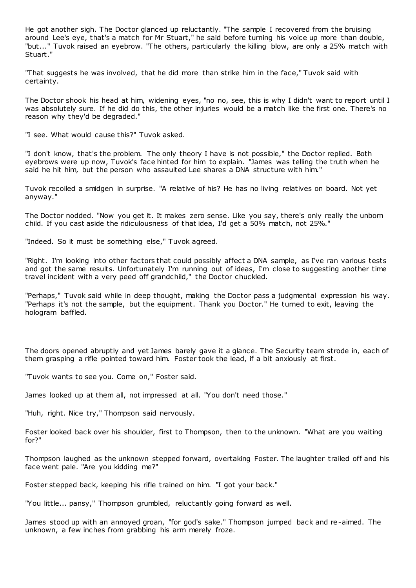He got another sigh. The Doctor glanced up reluctantly. "The sample I recovered from the bruising around Lee's eye, that's a match for Mr Stuart," he said before turning his voice up more than double, "but..." Tuvok raised an eyebrow. "The others, particularly the killing blow, are only a 25% match with Stuart."

"That suggests he was involved, that he did more than strike him in the face," Tuvok said with certainty.

The Doctor shook his head at him, widening eyes, "no no, see, this is why I didn't want to report until I was absolutely sure. If he did do this, the other injuries would be a match like the first one. There's no reason why they'd be degraded."

"I see. What would cause this?" Tuvok asked.

"I don't know, that's the problem. The only theory I have is not possible," the Doctor replied. Both eyebrows were up now, Tuvok's face hinted for him to explain. "James was telling the truth when he said he hit him, but the person who assaulted Lee shares a DNA structure with him."

Tuvok recoiled a smidgen in surprise. "A relative of his? He has no living relatives on board. Not yet anyway."

The Doctor nodded. "Now you get it. It makes zero sense. Like you say, there's only really the unborn child. If you cast aside the ridiculousness of that idea, I'd get a 50% match, not 25%."

"Indeed. So it must be something else," Tuvok agreed.

"Right. I'm looking into other factors that could possibly affect a DNA sample, as I've ran various tests and got the same results. Unfortunately I'm running out of ideas, I'm close to suggesting another time travel incident with a very peed off grandchild," the Doctor chuckled.

"Perhaps," Tuvok said while in deep thought, making the Doctor pass a judgmental expression his way. "Perhaps it's not the sample, but the equipment. Thank you Doctor." He turned to exit, leaving the hologram baffled.

The doors opened abruptly and yet James barely gave it a glance. The Security team strode in, each of them grasping a rifle pointed toward him. Foster took the lead, if a bit anxiously at first.

"Tuvok wants to see you. Come on," Foster said.

James looked up at them all, not impressed at all. "You don't need those."

"Huh, right. Nice try," Thompson said nervously.

Foster looked back over his shoulder, first to Thompson, then to the unknown. "What are you waiting for?"

Thompson laughed as the unknown stepped forward, overtaking Foster. The laughter trailed off and his face went pale. "Are you kidding me?"

Foster stepped back, keeping his rifle trained on him. "I got your back."

"You little... pansy," Thompson grumbled, reluctantly going forward as well.

James stood up with an annoyed groan, "for god's sake." Thompson jumped back and re-aimed. The unknown, a few inches from grabbing his arm merely froze.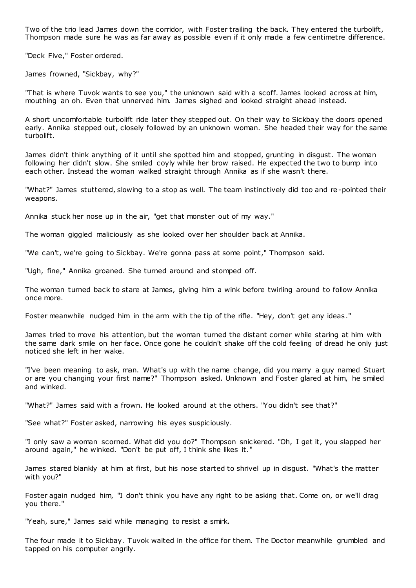Two of the trio lead James down the corridor, with Foster trailing the back. They entered the turbolift, Thompson made sure he was as far away as possible even if it only made a few centimetre difference.

"Deck Five," Foster ordered.

James frowned, "Sickbay, why?"

"That is where Tuvok wants to see you," the unknown said with a scoff. James looked across at him, mouthing an oh. Even that unnerved him. James sighed and looked straight ahead instead.

A short uncomfortable turbolift ride later they stepped out. On their way to Sickbay the doors opened early. Annika stepped out, closely followed by an unknown woman. She headed their way for the same turbolift.

James didn't think anything of it until she spotted him and stopped, grunting in disgust. The woman following her didn't slow. She smiled coyly while her brow raised. He expected the two to bump into each other. Instead the woman walked straight through Annika as if she wasn't there.

"What?" James stuttered, slowing to a stop as well. The team instinctively did too and re-pointed their weapons.

Annika stuck her nose up in the air, "get that monster out of my way."

The woman giggled maliciously as she looked over her shoulder back at Annika.

"We can't, we're going to Sickbay. We're gonna pass at some point," Thompson said.

"Ugh, fine," Annika groaned. She turned around and stomped off.

The woman turned back to stare at James, giving him a wink before twirling around to follow Annika once more.

Foster meanwhile nudged him in the arm with the tip of the rifle. "Hey, don't get any ideas."

James tried to move his attention, but the woman turned the distant corner while staring at him with the same dark smile on her face. Once gone he couldn't shake off the cold feeling of dread he only just noticed she left in her wake.

"I've been meaning to ask, man. What's up with the name change, did you marry a guy named Stuart or are you changing your first name?" Thompson asked. Unknown and Foster glared at him, he smiled and winked.

"What?" James said with a frown. He looked around at the others. "You didn't see that?"

"See what?" Foster asked, narrowing his eyes suspiciously.

"I only saw a woman scorned. What did you do?" Thompson snickered. "Oh, I get it, you slapped her around again," he winked. "Don't be put off, I think she likes it."

James stared blankly at him at first, but his nose started to shrivel up in disgust. "What's the matter with you?"

Foster again nudged him, "I don't think you have any right to be asking that. Come on, or we'll drag you there."

"Yeah, sure," James said while managing to resist a smirk.

The four made it to Sickbay. Tuvok waited in the office for them. The Doctor meanwhile grumbled and tapped on his computer angrily.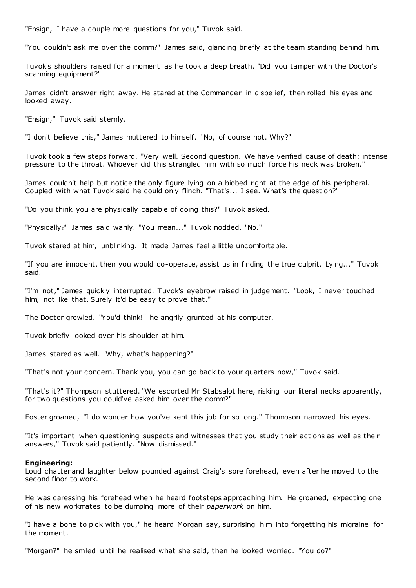"Ensign, I have a couple more questions for you," Tuvok said.

"You couldn't ask me over the comm?" James said, glancing briefly at the team standing behind him.

Tuvok's shoulders raised for a moment as he took a deep breath. "Did you tamper with the Doctor's scanning equipment?"

James didn't answer right away. He stared at the Commander in disbelief, then rolled his eyes and looked away.

"Ensign," Tuvok said sternly.

"I don't believe this," James muttered to himself. "No, of course not. Why?"

Tuvok took a few steps forward. "Very well. Second question. We have verified cause of death; intense pressure to the throat. Whoever did this strangled him with so much force his neck was broken."

James couldn't help but notice the only figure lying on a biobed right at the edge of his peripheral. Coupled with what Tuvok said he could only flinch. "That's... I see. What's the question?"

"Do you think you are physically capable of doing this?" Tuvok asked.

"Physically?" James said warily. "You mean..." Tuvok nodded. "No."

Tuvok stared at him, unblinking. It made James feel a little uncomfortable.

"If you are innocent, then you would co-operate, assist us in finding the true culprit. Lying..." Tuvok said.

"I'm not," James quickly interrupted. Tuvok's eyebrow raised in judgement. "Look, I never touched him, not like that. Surely it'd be easy to prove that."

The Doctor growled. "You'd think!" he angrily grunted at his computer.

Tuvok briefly looked over his shoulder at him.

James stared as well. "Why, what's happening?"

"That's not your concern. Thank you, you can go back to your quarters now," Tuvok said.

"That's it?" Thompson stuttered. "We escorted Mr Stabsalot here, risking our literal necks apparently, for two questions you could've asked him over the comm?"

Foster groaned, "I do wonder how you've kept this job for so long." Thompson narrowed his eyes.

"It's important when questioning suspects and witnesses that you study their actions as well as their answers," Tuvok said patiently. "Now dismissed."

#### **Engineering:**

Loud chatter and laughter below pounded against Craig's sore forehead, even after he moved to the second floor to work.

He was caressing his forehead when he heard footsteps approaching him. He groaned, expecting one of his new workmates to be dumping more of their *paperwork* on him.

"I have a bone to pick with you," he heard Morgan say, surprising him into forgetting his migraine for the moment.

"Morgan?" he smiled until he realised what she said, then he looked worried. "You do?"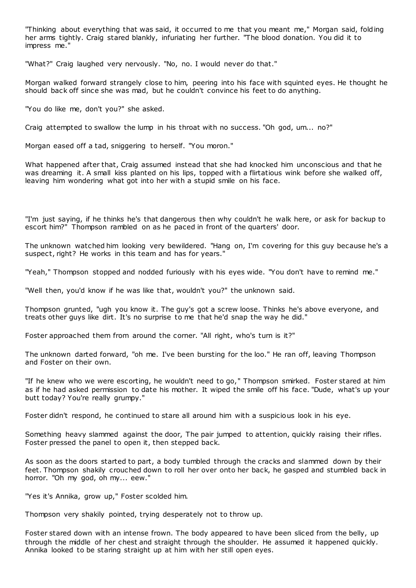"Thinking about everything that was said, it occurred to me that you meant me," Morgan said, folding her arms tightly. Craig stared blankly, infuriating her further. "The blood donation. You did it to impress me."

"What?" Craig laughed very nervously. "No, no. I would never do that."

Morgan walked forward strangely close to him, peering into his face with squinted eyes. He thought he should back off since she was mad, but he couldn't convince his feet to do anything.

"You do like me, don't you?" she asked.

Craig attempted to swallow the lump in his throat with no success. "Oh god, um... no?"

Morgan eased off a tad, sniggering to herself. "You moron."

What happened after that, Craig assumed instead that she had knocked him unconscious and that he was dreaming it. A small kiss planted on his lips, topped with a flirtatious wink before she walked off, leaving him wondering what got into her with a stupid smile on his face.

"I'm just saying, if he thinks he's that dangerous then why couldn't he walk here, or ask for backup to escort him?" Thompson rambled on as he paced in front of the quarters' door.

The unknown watched him looking very bewildered. "Hang on, I'm covering for this guy because he's a suspect, right? He works in this team and has for years."

"Yeah," Thompson stopped and nodded furiously with his eyes wide. "You don't have to remind me."

"Well then, you'd know if he was like that, wouldn't you?" the unknown said.

Thompson grunted, "ugh you know it. The guy's got a screw loose. Thinks he's above everyone, and treats other guys like dirt. It's no surprise to me that he'd snap the way he did."

Foster approached them from around the corner. "All right, who's turn is it?"

The unknown darted forward, "oh me. I've been bursting for the loo." He ran off, leaving Thompson and Foster on their own.

"If he knew who we were escorting, he wouldn't need to go," Thompson smirked. Foster stared at him as if he had asked permission to date his mother. It wiped the smile off his face. "Dude, what's up your butt today? You're really grumpy."

Foster didn't respond, he continued to stare all around him with a suspicious look in his eye.

Something heavy slammed against the door, The pair jumped to attention, quickly raising their rifles. Foster pressed the panel to open it, then stepped back.

As soon as the doors started to part, a body tumbled through the cracks and slammed down by their feet. Thompson shakily crouched down to roll her over onto her back, he gasped and stumbled back in horror. "Oh my god, oh my... eew."

"Yes it's Annika, grow up," Foster scolded him.

Thompson very shakily pointed, trying desperately not to throw up.

Foster stared down with an intense frown. The body appeared to have been sliced from the belly, up through the middle of her chest and straight through the shoulder. He assumed it happened quickly. Annika looked to be staring straight up at him with her still open eyes.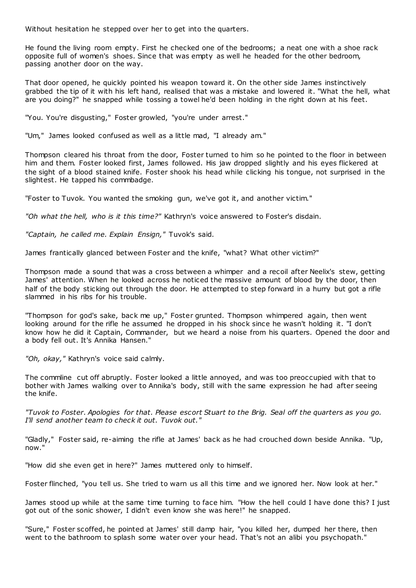Without hesitation he stepped over her to get into the quarters.

He found the living room empty. First he checked one of the bedrooms; a neat one with a shoe rack opposite full of women's shoes. Since that was empty as well he headed for the other bedroom, passing another door on the way.

That door opened, he quickly pointed his weapon toward it. On the other side James instinctively grabbed the tip of it with his left hand, realised that was a mistake and lowered it. "What the hell, what are you doing?" he snapped while tossing a towel he'd been holding in the right down at his feet.

"You. You're disgusting," Foster growled, "you're under arrest."

"Um," James looked confused as well as a little mad, "I already am."

Thompson cleared his throat from the door, Foster turned to him so he pointed to the floor in between him and them. Foster looked first, James followed. His jaw dropped slightly and his eyes flickered at the sight of a blood stained knife. Foster shook his head while clicking his tongue, not surprised in the slightest. He tapped his commbadge.

"Foster to Tuvok. You wanted the smoking gun, we've got it, and another victim."

*"Oh what the hell, who is it this time?"* Kathryn's voice answered to Foster's disdain.

*"Captain, he called me. Explain Ensign,"* Tuvok's said.

James frantically glanced between Foster and the knife, "what? What other victim?"

Thompson made a sound that was a cross between a whimper and a recoil after Neelix's stew, getting James' attention. When he looked across he noticed the massive amount of blood by the door, then half of the body sticking out through the door. He attempted to step forward in a hurry but got a rifle slammed in his ribs for his trouble.

"Thompson for god's sake, back me up," Foster grunted. Thompson whimpered again, then went looking around for the rifle he assumed he dropped in his shock since he wasn't holding it. "I don't know how he did it Captain, Commander, but we heard a noise from his quarters. Opened the door and a body fell out. It's Annika Hansen."

*"Oh, okay,"* Kathryn's voice said calmly.

The commline cut off abruptly. Foster looked a little annoyed, and was too preoccupied with that to bother with James walking over to Annika's body, still with the same expression he had after seeing the knife.

*"Tuvok to Foster. Apologies for that. Please escort Stuart to the Brig. Seal off the quarters as you go. I'll send another team to check it out. Tuvok out."*

"Gladly," Foster said, re-aiming the rifle at James' back as he had crouched down beside Annika. "Up, now."

"How did she even get in here?" James muttered only to himself.

Foster flinched, "you tell us. She tried to warn us all this time and we ignored her. Now look at her."

James stood up while at the same time turning to face him. "How the hell could I have done this? I just got out of the sonic shower, I didn't even know she was here!" he snapped.

"Sure," Foster scoffed, he pointed at James' still damp hair, "you killed her, dumped her there, then went to the bathroom to splash some water over your head. That's not an alibi you psychopath."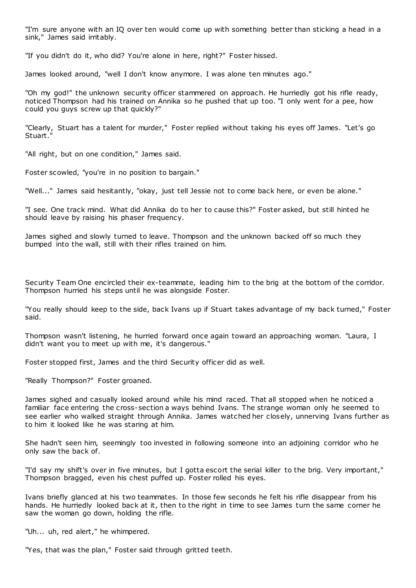"I'm sure anyone with an IQ over ten would come up with something better than sticking a head in a sink," James said irritably.

"If you didn't do it, who did? You're alone in here, right?" Foster hissed.

James looked around, "well I don't know anymore. I was alone ten minutes ago."

"Oh my god!" the unknown security officer stammered on approach. He hurriedly got his rifle ready, noticed Thompson had his trained on Annika so he pushed that up too. "I only went for a pee, how could you guys screw up that quickly?"

"Clearly, Stuart has a talent for murder," Foster replied without taking his eyes off James. "Let's go Stuart."

"All right, but on one condition," James said.

Foster scowled, "you're in no position to bargain."

"Well..." James said hesitantly, "okay, just tell Jessie not to come back here, or even be alone."

"I see. One track mind. What did Annika do to her to cause this?" Foster asked, but still hinted he should leave by raising his phaser frequency.

James sighed and slowly turned to leave. Thompson and the unknown backed off so much they bumped into the wall, still with their rifles trained on him.

Security Team One encircled their ex-teammate, leading him to the brig at the bottom of the corridor. Thompson hurried his steps until he was alongside Foster.

"You really should keep to the side, back Ivans up if Stuart takes advantage of my back turned," Foster said.

Thompson wasn't listening, he hurried forward once again toward an approaching woman. "Laura, I didn't want you to meet up with me, it's dangerous."

Foster stopped first, James and the third Security officer did as well.

"Really Thompson?" Foster groaned.

James sighed and casually looked around while his mind raced. That all stopped when he noticed a familiar face entering the cross-section a ways behind Ivans. The strange woman only he seemed to see earlier who walked straight through Annika. James watched her closely, unnerving Ivans further as to him it looked like he was staring at him.

She hadn't seen him, seemingly too invested in following someone into an adjoining corridor who he only saw the back of.

"I'd say my shift's over in five minutes, but I gotta escort the serial killer to the brig. Very important," Thompson bragged, even his chest puffed up. Foster rolled his eyes.

Ivans briefly glanced at his two teammates. In those few seconds he felt his rifle disappear from his hands. He hurriedly looked back at it, then to the right in time to see James turn the same corner he saw the woman go down, holding the rifle.

"Uh... uh, red alert," he whimpered.

"Yes, that was the plan," Foster said through gritted teeth.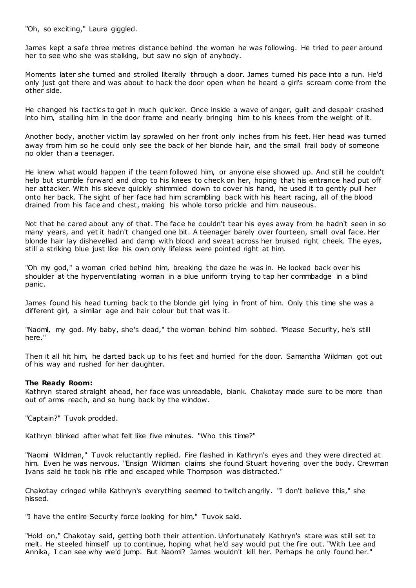"Oh, so exciting," Laura giggled.

James kept a safe three metres distance behind the woman he was following. He tried to peer around her to see who she was stalking, but saw no sign of anybody.

Moments later she turned and strolled literally through a door. James turned his pace into a run. He'd only just got there and was about to hack the door open when he heard a girl's scream come from the other side.

He changed his tactics to get in much quicker. Once inside a wave of anger, guilt and despair crashed into him, stalling him in the door frame and nearly bringing him to his knees from the weight of it.

Another body, another victim lay sprawled on her front only inches from his feet. Her head was turned away from him so he could only see the back of her blonde hair, and the small frail body of someone no older than a teenager.

He knew what would happen if the team followed him, or anyone else showed up. And still he couldn't help but stumble forward and drop to his knees to check on her, hoping that his entrance had put off her attacker. With his sleeve quickly shimmied down to cover his hand, he used it to gently pull her onto her back. The sight of her face had him scrambling back with his heart racing, all of the blood drained from his face and chest, making his whole torso prickle and him nauseous.

Not that he cared about any of that. The face he couldn't tear his eyes away from he hadn't seen in so many years, and yet it hadn't changed one bit. A teenager barely over fourteen, small oval face. Her blonde hair lay dishevelled and damp with blood and sweat across her bruised right cheek. The eyes, still a striking blue just like his own only lifeless were pointed right at him.

"Oh my god," a woman cried behind him, breaking the daze he was in. He looked back over his shoulder at the hyperventilating woman in a blue uniform trying to tap her commbadge in a blind panic .

James found his head turning back to the blonde girl lying in front of him. Only this time she was a different girl, a similar age and hair colour but that was it.

"Naomi, my god. My baby, she's dead," the woman behind him sobbed. "Please Security, he's still here."

Then it all hit him, he darted back up to his feet and hurried for the door. Samantha Wildman got out of his way and rushed for her daughter.

# **The Ready Room:**

Kathryn stared straight ahead, her face was unreadable, blank. Chakotay made sure to be more than out of arms reach, and so hung back by the window.

"Captain?" Tuvok prodded.

Kathryn blinked after what felt like five minutes. "Who this time?"

"Naomi Wildman," Tuvok reluctantly replied. Fire flashed in Kathryn's eyes and they were directed at him. Even he was nervous. "Ensign Wildman claims she found Stuart hovering over the body. Crewman Ivans said he took his rifle and escaped while Thompson was distracted."

Chakotay cringed while Kathryn's everything seemed to twitch angrily. "I don't believe this," she hissed.

"I have the entire Security force looking for him," Tuvok said.

"Hold on," Chakotay said, getting both their attention. Unfortunately Kathryn's stare was still set to melt. He steeled himself up to continue, hoping what he'd say would put the fire out. "With Lee and Annika, I can see why we'd jump. But Naomi? James wouldn't kill her. Perhaps he only found her."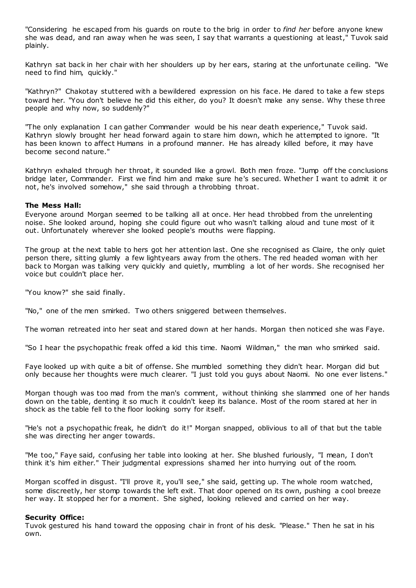"Considering he escaped from his guards on route to the brig in order to *find her* before anyone knew she was dead, and ran away when he was seen, I say that warrants a questioning at least," Tuvok said plainly.

Kathryn sat back in her chair with her shoulders up by her ears, staring at the unfortunate ceiling. "We need to find him, quickly."

"Kathryn?" Chakotay stuttered with a bewildered expression on his face. He dared to take a few steps toward her. "You don't believe he did this either, do you? It doesn't make any sense. Why these three people and why now, so suddenly?"

"The only explanation I can gather Commander would be his near death experience," Tuvok said. Kathryn slowly brought her head forward again to stare him down, which he attempted to ignore. "It has been known to affect Humans in a profound manner. He has already killed before, it may have become second nature."

Kathryn exhaled through her throat, it sounded like a growl. Both men froze. "Jump off the conclusions bridge later, Commander. First we find him and make sure he's secured. Whether I want to admit it or not, he's involved somehow," she said through a throbbing throat.

# **The Mess Hall:**

Everyone around Morgan seemed to be talking all at once. Her head throbbed from the unrelenting noise. She looked around, hoping she could figure out who wasn't talking aloud and tune most of it out. Unfortunately wherever she looked people's mouths were flapping.

The group at the next table to hers got her attention last. One she recognised as Claire, the only quiet person there, sitting glumly a few lightyears away from the others. The red headed woman with her back to Morgan was talking very quickly and quietly, mumbling a lot of her words. She recognised her voice but couldn't place her.

"You know?" she said finally.

"No," one of the men smirked. Two others sniggered between themselves.

The woman retreated into her seat and stared down at her hands. Morgan then noticed she was Faye.

"So I hear the psychopathic freak offed a kid this time. Naomi Wildman," the man who smirked said.

Faye looked up with quite a bit of offense. She mumbled something they didn't hear. Morgan did but only because her thoughts were much clearer. "I just told you guys about Naomi. No one ever listens."

Morgan though was too mad from the man's comment, without thinking she slammed one of her hands down on the table, denting it so much it couldn't keep its balance. Most of the room stared at her in shock as the table fell to the floor looking sorry for itself.

"He's not a psychopathic freak, he didn't do it!" Morgan snapped, oblivious to all of that but the table she was directing her anger towards.

"Me too," Faye said, confusing her table into looking at her. She blushed furiously, "I mean, I don't think it's him either." Their judgmental expressions shamed her into hurrying out of the room.

Morgan scoffed in disgust. "I'll prove it, you'll see," she said, getting up. The whole room watched, some discreetly, her stomp towards the left exit. That door opened on its own, pushing a cool breeze her way. It stopped her for a moment. She sighed, looking relieved and carried on her way.

# **Security Office:**

Tuvok gestured his hand toward the opposing chair in front of his desk. "Please." Then he sat in his own.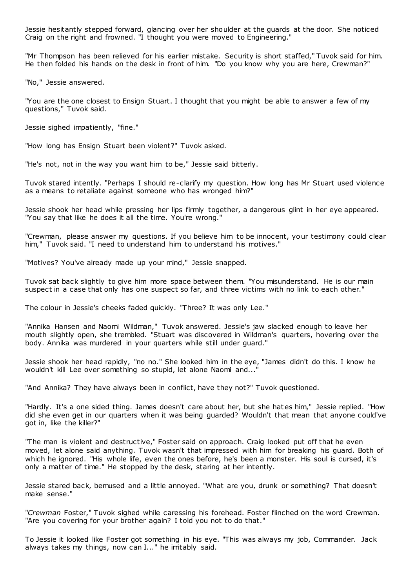Jessie hesitantly stepped forward, glancing over her shoulder at the guards at the door. She noticed Craig on the right and frowned. "I thought you were moved to Engineering."

"Mr Thompson has been relieved for his earlier mistake. Security is short staffed," Tuvok said for him. He then folded his hands on the desk in front of him. "Do you know why you are here, Crewman?"

"No," Jessie answered.

"You are the one closest to Ensign Stuart. I thought that you might be able to answer a few of my questions," Tuvok said.

Jessie sighed impatiently, "fine."

"How long has Ensign Stuart been violent?" Tuvok asked.

"He's not, not in the way you want him to be," Jessie said bitterly.

Tuvok stared intently. "Perhaps I should re-clarify my question. How long has Mr Stuart used violence as a means to retaliate against someone who has wronged him?"

Jessie shook her head while pressing her lips firmly together, a dangerous glint in her eye appeared. "You say that like he does it all the time. You're wrong."

"Crewman, please answer my questions. If you believe him to be innocent, your testimony could clear him," Tuvok said. "I need to understand him to understand his motives."

"Motives? You've already made up your mind," Jessie snapped.

Tuvok sat back slightly to give him more space between them. "You misunderstand. He is our main suspect in a case that only has one suspect so far, and three victims with no link to each other."

The colour in Jessie's cheeks faded quickly. "Three? It was only Lee."

"Annika Hansen and Naomi Wildman," Tuvok answered. Jessie's jaw slacked enough to leave her mouth slightly open, she trembled. "Stuart was discovered in Wildman's quarters, hovering over the body. Annika was murdered in your quarters while still under guard."

Jessie shook her head rapidly, "no no." She looked him in the eye, "James didn't do this. I know he wouldn't kill Lee over something so stupid, let alone Naomi and...'

"And Annika? They have always been in conflict, have they not?" Tuvok questioned.

"Hardly. It's a one sided thing. James doesn't care about her, but she hat es him," Jessie replied. "How did she even get in our quarters when it was being guarded? Wouldn't that mean that anyone could've got in, like the killer?"

"The man is violent and destructive," Foster said on approach. Craig looked put off that he even moved, let alone said anything. Tuvok wasn't that impressed with him for breaking his guard. Both of which he ignored. "His whole life, even the ones before, he's been a monster. His soul is cursed, it's only a matter of time." He stopped by the desk, staring at her intently.

Jessie stared back, bemused and a little annoyed. "What are you, drunk or something? That doesn't make sense."

"*Crewman* Foster," Tuvok sighed while caressing his forehead. Foster flinched on the word Crewman. "Are you covering for your brother again? I told you not to do that."

To Jessie it looked like Foster got something in his eye. "This was always my job, Commander. Jack always takes my things, now can I..." he irritably said.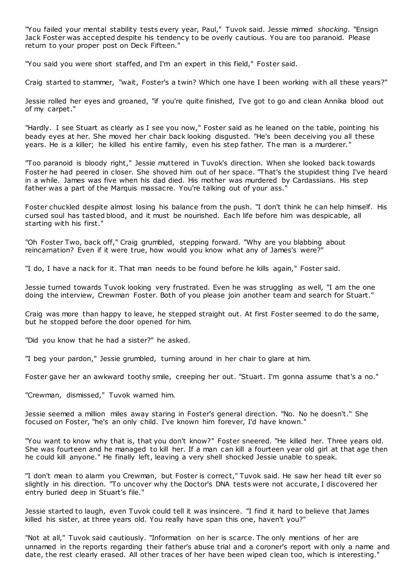"You failed your mental stability tests every year, Paul," Tuvok said. Jessie mimed *shocking*. "Ensign Jack Foster was accepted despite his tendency to be overly cautious. You are too paranoid. Please return to your proper post on Deck Fifteen."

"You said you were short staffed, and I'm an expert in this field," Foster said.

Craig started to stammer, "wait, Foster's a twin? Which one have I been working with all these years?"

Jessie rolled her eyes and groaned, "if you're quite finished, I've got to go and clean Annika blood out of my carpet."

"Hardly. I see Stuart as clearly as I see you now," Foster said as he leaned on the table, pointing his beady eyes at her. She moved her chair back looking disgusted. "He's been deceiving you all these years. He is a killer; he killed his entire family, even his step father. The man is a murderer."

"Too paranoid is bloody right," Jessie muttered in Tuvok's direction. When she looked back towards Foster he had peered in closer. She shoved him out of her space. "That's the stupidest thing I've heard in a while. James was five when his dad died. His mother was murdered by Cardassians. His step father was a part of the Marquis massacre. You're talking out of your ass."

Foster chuckled despite almost losing his balance from the push. "I don't think he can help himself. His cursed soul has tasted blood, and it must be nourished. Each life before him was despicable, all starting with his first."

"Oh Foster Two, back off," Craig grumbled, stepping forward. "Why are you blabbing about reincarnation? Even if it were true, how would you know what any of James's were?"

"I do, I have a nack for it. That man needs to be found before he kills again," Foster said.

Jessie turned towards Tuvok looking very frustrated. Even he was struggling as well, "I am the one doing the interview, Crewman Foster. Both of you please join another team and search for Stuart."

Craig was more than happy to leave, he stepped straight out. At first Foster seemed to do the same, but he stopped before the door opened for him.

"Did you know that he had a sister?" he asked.

"I beg your pardon," Jessie grumbled, turning around in her chair to glare at him.

Foster gave her an awkward toothy smile, creeping her out. "Stuart. I'm gonna assume that's a no."

"Crewman, dismissed," Tuvok warned him.

Jessie seemed a million miles away staring in Foster's general direction. "No. No he doesn't." She focused on Foster, "he's an only child. I've known him forever, I'd have known."

"You want to know why that is, that you don't know?" Foster sneered. "He killed her. Three years old. She was fourteen and he managed to kill her. If a man can kill a fourteen year old girl at that age then he could kill anyone." He finally left, leaving a very shell shocked Jessie unable to speak.

"I don't mean to alarm you Crewman, but Foster is correct," Tuvok said. He saw her head tilt ever so slightly in his direction. "To uncover why the Doctor's DNA tests were not accurate, I discovered her entry buried deep in Stuart's file."

Jessie started to laugh, even Tuvok could tell it was insincere. "I find it hard to believe that James killed his sister, at three years old. You really have span this one, haven't you?"

"Not at all," Tuvok said cautiously. "Information on her is scarce. The only mentions of her are unnamed in the reports regarding their father's abuse trial and a coroner's report with only a name and date, the rest clearly erased. All other traces of her have been wiped clean too, which is interesting."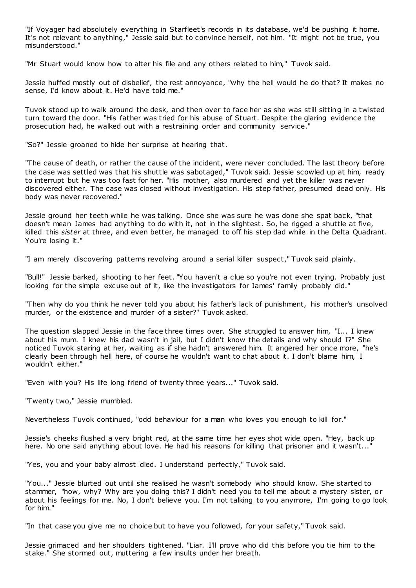"If Voyager had absolutely everything in Starfleet's records in its database, we'd be pushing it home. It's not relevant to anything," Jessie said but to convince herself, not him. "It might not be true, you misunderstood."

"Mr Stuart would know how to alter his file and any others related to him," Tuvok said.

Jessie huffed mostly out of disbelief, the rest annoyance, "why the hell would he do that? It makes no sense, I'd know about it. He'd have told me."

Tuvok stood up to walk around the desk, and then over to face her as she was still sitting in a twisted turn toward the door. "His father was tried for his abuse of Stuart. Despite the glaring evidence the prosecution had, he walked out with a restraining order and community service."

"So?" Jessie groaned to hide her surprise at hearing that.

"The cause of death, or rather the cause of the incident, were never concluded. The last theory before the case was settled was that his shuttle was sabotaged," Tuvok said. Jessie scowled up at him, ready to interrupt but he was too fast for her. "His mother, also murdered and yet the killer was never discovered either. The case was closed without investigation. His step father, presumed dead only. His body was never recovered."

Jessie ground her teeth while he was talking. Once she was sure he was done she spat back, "that doesn't mean James had anything to do with it, not in the slightest. So, he rigged a shuttle at five, killed this *sister* at three, and even better, he managed to off his step dad while in the Delta Quadrant. You're losing it."

"I am merely discovering patterns revolving around a serial killer suspect," Tuvok said plainly.

"Bull!" Jessie barked, shooting to her feet. "You haven't a clue so you're not even trying. Probably just looking for the simple excuse out of it, like the investigators for James' family probably did."

"Then why do you think he never told you about his father's lack of punishment, his mother's unsolved murder, or the existence and murder of a sister?" Tuvok asked.

The question slapped Jessie in the face three times over. She struggled to answer him, "I... I knew about his mum. I knew his dad wasn't in jail, but I didn't know the details and why should I?" She noticed Tuvok staring at her, waiting as if she hadn't answered him. It angered her once more, "he's clearly been through hell here, of course he wouldn't want to chat about it. I don't blame him, I wouldn't either."

"Even with you? His life long friend of twenty three years..." Tuvok said.

"Twenty two," Jessie mumbled.

Nevertheless Tuvok continued, "odd behaviour for a man who loves you enough to kill for."

Jessie's cheeks flushed a very bright red, at the same time her eyes shot wide open. "Hey, back up here. No one said anything about love. He had his reasons for killing that prisoner and it wasn't..."

"Yes, you and your baby almost died. I understand perfectly," Tuvok said.

"You..." Jessie blurted out until she realised he wasn't somebody who should know. She started to stammer, "how, why? Why are you doing this? I didn't need you to tell me about a mystery sister, or about his feelings for me. No, I don't believe you. I'm not talking to you anymore, I'm going to go look for him."

"In that case you give me no choice but to have you followed, for your safety," Tuvok said.

Jessie grimaced and her shoulders tightened. "Liar. I'll prove who did this before you tie him to the stake." She stormed out, muttering a few insults under her breath.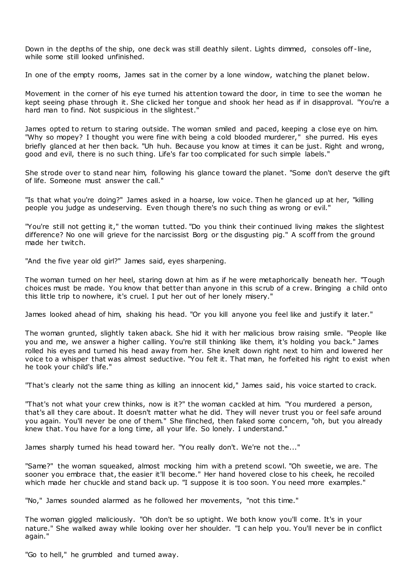Down in the depths of the ship, one deck was still deathly silent. Lights dimmed, consoles off -line, while some still looked unfinished.

In one of the empty rooms, James sat in the corner by a lone window, watching the planet below.

Movement in the corner of his eye turned his attention toward the door, in time to see the woman he kept seeing phase through it. She clicked her tongue and shook her head as if in disapproval. "You're a hard man to find. Not suspicious in the slightest."

James opted to return to staring outside. The woman smiled and paced, keeping a close eye on him. "Why so mopey? I thought you were fine with being a cold blooded murderer," she purred. His eyes briefly glanced at her then back. "Uh huh. Because you know at times it can be just. Right and wrong, good and evil, there is no such thing. Life's far too complicated for such simple labels."

She strode over to stand near him, following his glance toward the planet. "Some don't deserve the gift of life. Someone must answer the call."

"Is that what you're doing?" James asked in a hoarse, low voice. Then he glanced up at her, "killing people you judge as undeserving. Even though there's no such thing as wrong or evil."

"You're still not getting it," the woman tutted. "Do you think their continued living makes the slightest difference? No one will grieve for the narcissist Borg or the disgusting pig." A scoff from the ground made her twitch.

"And the five year old girl?" James said, eyes sharpening.

The woman turned on her heel, staring down at him as if he were metaphorically beneath her. "Tough choices must be made. You know that better than anyone in this scrub of a crew. Bringing a child onto this little trip to nowhere, it's cruel. I put her out of her lonely misery."

James looked ahead of him, shaking his head. "Or you kill anyone you feel like and justify it later."

The woman grunted, slightly taken aback. She hid it with her malicious brow raising smile. "People like you and me, we answer a higher calling. You're still thinking like them, it's holding you back." James rolled his eyes and turned his head away from her. She knelt down right next to him and lowered her voice to a whisper that was almost seductive. "You felt it. That man, he forfeited his right to exist when he took your child's life."

"That's clearly not the same thing as killing an innocent kid," James said, his voice started to crack.

"That's not what your crew thinks, now is it?" the woman cackled at him. "You murdered a person, that's all they care about. It doesn't matter what he did. They will never trust you or feel safe around you again. You'll never be one of them." She flinched, then faked some concern, "oh, but you already knew that. You have for a long time, all your life. So lonely. I understand."

James sharply turned his head toward her. "You really don't. We're not the..."

"Same?" the woman squeaked, almost mocking him with a pretend scowl. "Oh sweetie, we are. The sooner you embrace that, the easier it'll become." Her hand hovered close to his cheek, he recoiled which made her chuckle and stand back up. "I suppose it is too soon. Y ou need more examples."

"No," James sounded alarmed as he followed her movements, "not this time."

The woman giggled maliciously. "Oh don't be so uptight. We both know you'll come. It's in your nature." She walked away while looking over her shoulder. "I c an help you. You'll never be in conflict again."

"Go to hell," he grumbled and turned away.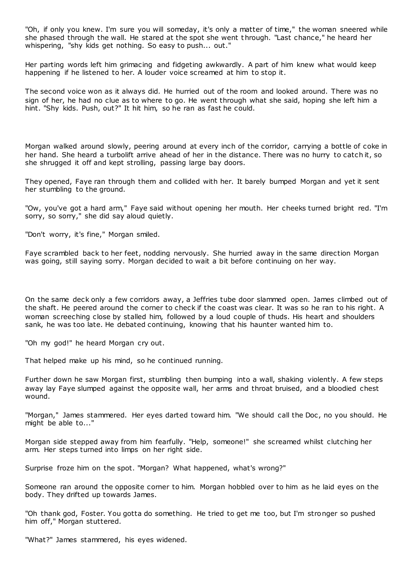"Oh, if only you knew. I'm sure you will someday, it's only a matter of time," the woman sneered while she phased through the wall. He stared at the spot she went through. "Last chance," he heard her whispering, "shy kids get nothing. So easy to push... out."

Her parting words left him grimacing and fidgeting awkwardly. A part of him knew what would keep happening if he listened to her. A louder voice screamed at him to stop it.

The second voice won as it always did. He hurried out of the room and looked around. There was no sign of her, he had no clue as to where to go. He went through what she said, hoping she left him a hint. "Shy kids. Push, out?" It hit him, so he ran as fast he could.

Morgan walked around slowly, peering around at every inch of the corridor, carrying a bottle of coke in her hand. She heard a turbolift arrive ahead of her in the distance. There was no hurry to catch it, so she shrugged it off and kept strolling, passing large bay doors.

They opened, Faye ran through them and collided with her. It barely bumped Morgan and yet it sent her stumbling to the ground.

"Ow, you've got a hard arm," Faye said without opening her mouth. Her cheeks turned bright red. "I'm sorry, so sorry," she did say aloud quietly.

"Don't worry, it's fine," Morgan smiled.

Faye scrambled back to her feet, nodding nervously. She hurried away in the same direction Morgan was going, still saying sorry. Morgan decided to wait a bit before continuing on her way.

On the same deck only a few corridors away, a Jeffries tube door slammed open. James climbed out of the shaft. He peered around the corner to check if the coast was clear. It was so he ran to his right. A woman screeching close by stalled him, followed by a loud couple of thuds. His heart and shoulders sank, he was too late. He debated continuing, knowing that his haunter wanted him to.

"Oh my god!" he heard Morgan cry out.

That helped make up his mind, so he continued running.

Further down he saw Morgan first, stumbling then bumping into a wall, shaking violently. A few steps away lay Faye slumped against the opposite wall, her arms and throat bruised, and a bloodied chest wound.

"Morgan," James stammered. Her eyes darted toward him. "We should call the Doc, no you should. He might be able to..."

Morgan side stepped away from him fearfully. "Help, someone!" she screamed whilst clutching her arm. Her steps turned into limps on her right side.

Surprise froze him on the spot. "Morgan? What happened, what's wrong?"

Someone ran around the opposite corner to him. Morgan hobbled over to him as he laid eyes on the body. They drifted up towards James.

"Oh thank god, Foster. You gotta do something. He tried to get me too, but I'm stronger so pushed him off," Morgan stuttered.

"What?" James stammered, his eyes widened.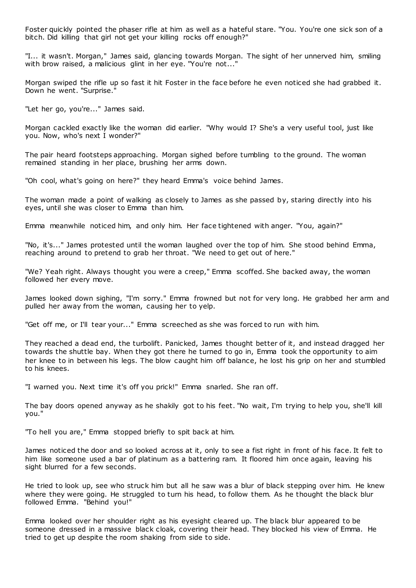Foster quickly pointed the phaser rifle at him as well as a hateful stare. "You. You're one sick son of a bitch. Did killing that girl not get your killing rocks off enough?"

"I... it wasn't. Morgan," James said, glancing towards Morgan. The sight of her unnerved him, smiling with brow raised, a malicious glint in her eye. "You're not..."

Morgan swiped the rifle up so fast it hit Foster in the face before he even noticed she had grabbed it. Down he went. "Surprise."

"Let her go, you're..." James said.

Morgan cackled exactly like the woman did earlier. "Why would I? She's a very useful tool, just like you. Now, who's next I wonder?"

The pair heard footsteps approaching. Morgan sighed before tumbling to the ground. The woman remained standing in her place, brushing her arms down.

"Oh cool, what's going on here?" they heard Emma's voice behind James.

The woman made a point of walking as closely to James as she passed by, staring directly into his eyes, until she was closer to Emma than him.

Emma meanwhile noticed him, and only him. Her face tightened with anger. "You, again?"

"No, it's..." James protested until the woman laughed over the top of him. She stood behind Emma, reaching around to pretend to grab her throat. "We need to get out of here."

"We? Yeah right. Always thought you were a creep," Emma scoffed. She backed away, the woman followed her every move.

James looked down sighing, "I'm sorry." Emma frowned but not for very long. He grabbed her arm and pulled her away from the woman, causing her to yelp.

"Get off me, or I'll tear your..." Emma screeched as she was forced to run with him.

They reached a dead end, the turbolift. Panicked, James thought better of it, and instead dragged her towards the shuttle bay. When they got there he turned to go in, Emma took the opportunity to aim her knee to in between his legs. The blow caught him off balance, he lost his grip on her and stumbled to his knees.

"I warned you. Next time it's off you prick!" Emma snarled. She ran off.

The bay doors opened anyway as he shakily got to his feet. "No wait, I'm trying to help you, she'll kill you."

"To hell you are," Emma stopped briefly to spit back at him.

James noticed the door and so looked across at it, only to see a fist right in front of his face. It felt to him like someone used a bar of platinum as a battering ram. It floored him once again, leaving his sight blurred for a few seconds.

He tried to look up, see who struck him but all he saw was a blur of black stepping over him. He knew where they were going. He struggled to turn his head, to follow them. As he thought the black blur followed Emma. "Behind you!"

Emma looked over her shoulder right as his eyesight cleared up. The black blur appeared to be someone dressed in a massive black cloak, covering their head. They blocked his view of Emma. He tried to get up despite the room shaking from side to side.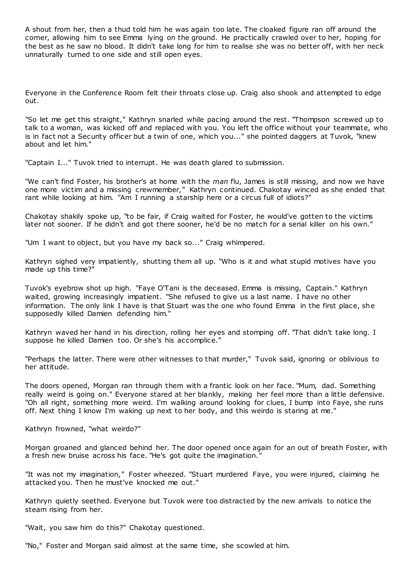A shout from her, then a thud told him he was again too late. The cloaked figure ran off around the corner, allowing him to see Emma lying on the ground. He practically crawled over to her, hoping for the best as he saw no blood. It didn't take long for him to realise she was no better off, with her neck unnaturally turned to one side and still open eyes.

Everyone in the Conference Room felt their throats close up. Craig also shook and attempted to edge out.

"So let me get this straight," Kathryn snarled while pacing around the rest. "Thompson screwed up to talk to a woman, was kicked off and replaced with you. You left the office without your teammate, who is in fact not a Security officer but a twin of one, which you..." she pointed daggers at Tuvok, "knew about and let him."

"Captain I..." Tuvok tried to interrupt. He was death glared to submission.

"We can't find Foster, his brother's at home with the *man* flu, James is still missing, and now we have one more victim and a missing crewmember," Kathryn continued. Chakotay winced as she ended that rant while looking at him. "Am I running a starship here or a circus full of idiots?"

Chakotay shakily spoke up, "to be fair, if Craig waited for Foster, he would've gotten to the victims later not sooner. If he didn't and got there sooner, he'd be no match for a serial killer on his own."

"Um I want to object, but you have my back so..." Craig whimpered.

Kathryn sighed very impatiently, shutting them all up. "Who is it and what stupid motives have you made up this time?"

Tuvok's eyebrow shot up high. "Faye O'Tani is the deceased. Emma is missing, Captain." Kathryn waited, growing increasingly impatient. "She refused to give us a last name. I have no other information. The only link I have is that Stuart was the one who found Emma in the first place, she supposedly killed Damien defending him."

Kathryn waved her hand in his direction, rolling her eyes and stomping off. "That didn't take long. I suppose he killed Damien too. Or she's his accomplice."

"Perhaps the latter. There were other witnesses to that murder," Tuvok said, ignoring or oblivious to her attitude.

The doors opened, Morgan ran through them with a frantic look on her face. "Mum, dad. Something really weird is going on." Everyone stared at her blankly, making her feel more than a little defensive. "Oh all right, something more weird. I'm walking around looking for clues, I bump into Faye, she runs off. Next thing I know I'm waking up next to her body, and this weirdo is staring at me."

Kathryn frowned, "what weirdo?"

Morgan groaned and glanced behind her. The door opened once again for an out of breath Foster, with a fresh new bruise across his face. "He's got quite the imagination."

"It was not my imagination," Foster wheezed. "Stuart murdered Faye, you were injured, claiming he attacked you. Then he must've knocked me out."

Kathryn quietly seethed. Everyone but Tuvok were too distracted by the new arrivals to notice the steam rising from her.

"Wait, you saw him do this?" Chakotay questioned.

"No," Foster and Morgan said almost at the same time, she scowled at him.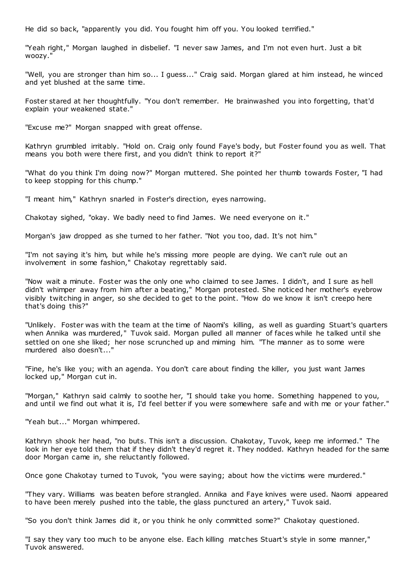He did so back, "apparently you did. You fought him off you. You looked terrified."

"Yeah right," Morgan laughed in disbelief. "I never saw James, and I'm not even hurt. Just a bit woozy."

"Well, you are stronger than him so... I guess..." Craig said. Morgan glared at him instead, he winced and yet blushed at the same time.

Foster stared at her thoughtfully. "You don't remember. He brainwashed you into forgetting, that'd explain your weakened state."

"Excuse me?" Morgan snapped with great offense.

Kathryn grumbled irritably. "Hold on. Craig only found Faye's body, but Foster found you as well. That means you both were there first, and you didn't think to report it?"

"What do you think I'm doing now?" Morgan muttered. She pointed her thumb towards Foster, "I had to keep stopping for this chump."

"I meant him," Kathryn snarled in Foster's direction, eyes narrowing.

Chakotay sighed, "okay. We badly need to find James. We need everyone on it."

Morgan's jaw dropped as she turned to her father. "Not you too, dad. It's not him."

"I'm not saying it's him, but while he's missing more people are dying. We can't rule out an involvement in some fashion," Chakotay regrettably said.

"Now wait a minute. Foster was the only one who claimed to see James. I didn't, and I sure as hell didn't whimper away from him after a beating," Morgan protested. She noticed her mother's eyebrow visibly twitching in anger, so she decided to get to the point. "How do we know it isn't creepo here that's doing this?"

"Unlikely. Foster was with the team at the time of Naomi's killing, as well as guarding Stuart's quarters when Annika was murdered," Tuvok said. Morgan pulled all manner of faces while he talked until she settled on one she liked; her nose scrunched up and miming him. "The manner as to some were murdered also doesn't...'

"Fine, he's like you; with an agenda. You don't care about finding the killer, you just want James locked up," Morgan cut in.

"Morgan," Kathryn said calmly to soothe her, "I should take you home. Something happened to you, and until we find out what it is, I'd feel better if you were somewhere safe and with me or your father."

"Yeah but..." Morgan whimpered.

Kathryn shook her head, "no buts. This isn't a discussion. Chakotay, Tuvok, keep me informed." The look in her eye told them that if they didn't they'd regret it. They nodded. Kathryn headed for the same door Morgan came in, she reluctantly followed.

Once gone Chakotay turned to Tuvok, "you were saying; about how the victims were murdered."

"They vary. Williams was beaten before strangled. Annika and Faye knives were used. Naomi appeared to have been merely pushed into the table, the glass punctured an artery," Tuvok said.

"So you don't think James did it, or you think he only committed some?" Chakotay questioned.

"I say they vary too much to be anyone else. Each killing matches Stuart's style in some manner," Tuvok answered.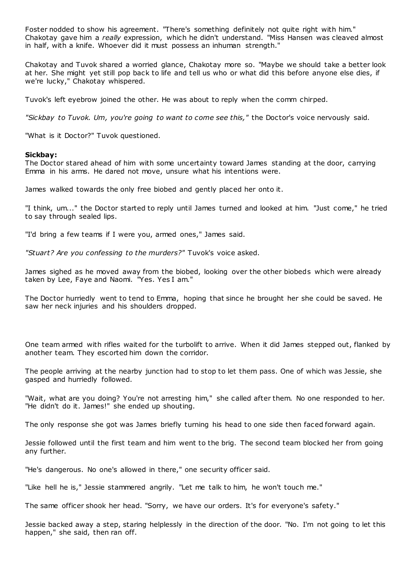Foster nodded to show his agreement. "There's something definitely not quite right with him." Chakotay gave him a *really* expression, which he didn't understand. "Miss Hansen was cleaved almost in half, with a knife. Whoever did it must possess an inhuman strength."

Chakotay and Tuvok shared a worried glance, Chakotay more so. "Maybe we should take a better look at her. She might yet still pop back to life and tell us who or what did this before anyone else dies, if we're lucky," Chakotay whispered.

Tuvok's left eyebrow joined the other. He was about to reply when the comm chirped.

*"Sickbay to Tuvok. Um, you're going to want to come see this,"* the Doctor's voice nervously said.

"What is it Doctor?" Tuvok questioned.

#### **Sickbay:**

The Doctor stared ahead of him with some uncertainty toward James standing at the door, carrying Emma in his arms. He dared not move, unsure what his intentions were.

James walked towards the only free biobed and gently placed her onto it.

"I think, um..." the Doctor started to reply until James turned and looked at him. "Just come," he tried to say through sealed lips.

"I'd bring a few teams if I were you, armed ones," James said.

*"Stuart? Are you confessing to the murders?"* Tuvok's voice asked.

James sighed as he moved away from the biobed, looking over the other biobeds which were already taken by Lee, Faye and Naomi. "Yes. Yes I am."

The Doctor hurriedly went to tend to Emma, hoping that since he brought her she could be saved. He saw her neck injuries and his shoulders dropped.

One team armed with rifles waited for the turbolift to arrive. When it did James stepped out, flanked by another team. They escorted him down the corridor.

The people arriving at the nearby junction had to stop to let them pass. One of which was Jessie, she gasped and hurriedly followed.

"Wait, what are you doing? You're not arresting him," she called after them. No one responded to her. "He didn't do it. James!" she ended up shouting.

The only response she got was James briefly turning his head to one side then faced forward again.

Jessie followed until the first team and him went to the brig. The second team blocked her from going any further.

"He's dangerous. No one's allowed in there," one security officer said.

"Like hell he is," Jessie stammered angrily. "Let me talk to him, he won't touch me."

The same officer shook her head. "Sorry, we have our orders. It's for everyone's safety."

Jessie backed away a step, staring helplessly in the direction of the door. "No. I'm not going to let this happen," she said, then ran off.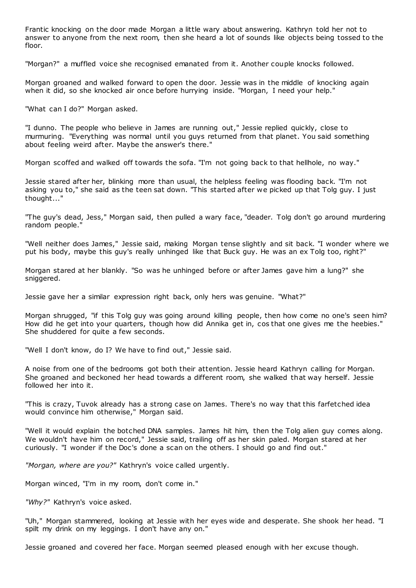Frantic knocking on the door made Morgan a little wary about answering. Kathryn told her not to answer to anyone from the next room, then she heard a lot of sounds like objects being tossed to the floor.

"Morgan?" a muffled voice she recognised emanated from it. Another couple knocks followed.

Morgan groaned and walked forward to open the door. Jessie was in the middle of knocking again when it did, so she knocked air once before hurrying inside. "Morgan, I need your help."

"What can I do?" Morgan asked.

"I dunno. The people who believe in James are running out," Jessie replied quickly, close to murmuring. "Everything was normal until you guys returned from that planet. You said something about feeling weird after. Maybe the answer's there."

Morgan scoffed and walked off towards the sofa. "I'm not going back to that hellhole, no way."

Jessie stared after her, blinking more than usual, the helpless feeling was flooding back. "I'm not asking you to," she said as the teen sat down. "This started after we picked up that Tolg guy. I just thought..."

"The guy's dead, Jess," Morgan said, then pulled a wary face, "deader. Tolg don't go around murdering random people."

"Well neither does James," Jessie said, making Morgan tense slightly and sit back. "I wonder where we put his body, maybe this guy's really unhinged like that Buck guy. He was an ex Tolg too, right?"

Morgan stared at her blankly. "So was he unhinged before or after James gave him a lung?" she sniggered.

Jessie gave her a similar expression right back, only hers was genuine. "What?"

Morgan shrugged, "if this Tolg guy was going around killing people, then how come no one's seen him? How did he get into your quarters, though how did Annika get in, cos that one gives me the heebies." She shuddered for quite a few seconds.

"Well I don't know, do I? We have to find out," Jessie said.

A noise from one of the bedrooms got both their attention. Jessie heard Kathryn calling for Morgan. She groaned and beckoned her head towards a different room, she walked that way herself. Jessie followed her into it.

"This is crazy, Tuvok already has a strong case on James. There's no way that this farfetched idea would convince him otherwise," Morgan said.

"Well it would explain the botched DNA samples. James hit him, then the Tolg alien guy comes along. We wouldn't have him on record," Jessie said, trailing off as her skin paled. Morgan stared at her curiously. "I wonder if the Doc's done a scan on the others. I should go and find out."

*"Morgan, where are you?"* Kathryn's voice called urgently.

Morgan winced, "I'm in my room, don't come in."

*"Why?"* Kathryn's voice asked.

"Uh," Morgan stammered, looking at Jessie with her eyes wide and desperate. She shook her head. "I spilt my drink on my leggings. I don't have any on."

Jessie groaned and covered her face. Morgan seemed pleased enough with her excuse though.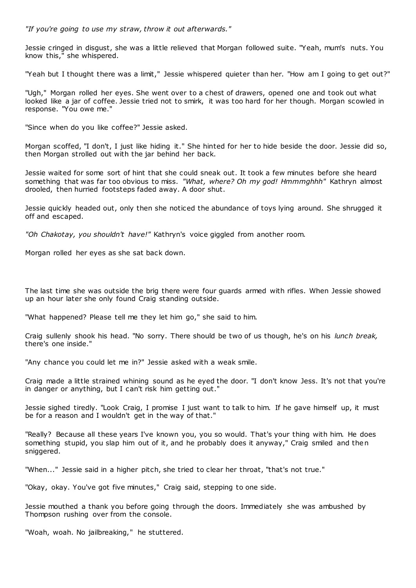*"If you're going to use my straw, throw it out afterwards."*

Jessie cringed in disgust, she was a little relieved that Morgan followed suite. "Yeah, mum's nuts. You know this," she whispered.

"Yeah but I thought there was a limit," Jessie whispered quieter than her. "How am I going to get out?"

"Ugh," Morgan rolled her eyes. She went over to a chest of drawers, opened one and took out what looked like a jar of coffee. Jessie tried not to smirk, it was too hard for her though. Morgan scowled in response. "You owe me."

"Since when do you like coffee?" Jessie asked.

Morgan scoffed, "I don't, I just like hiding it." She hinted for her to hide beside the door. Jessie did so, then Morgan strolled out with the jar behind her back.

Jessie waited for some sort of hint that she could sneak out. It took a few minutes before she heard something that was far too obvious to miss. *"What, where? Oh my god! Hmmmghhh"* Kathryn almost drooled, then hurried footsteps faded away. A door shut.

Jessie quickly headed out, only then she noticed the abundance of toys lying around. She shrugged it off and escaped.

*"Oh Chakotay, you shouldn't have!"* Kathryn's voice giggled from another room.

Morgan rolled her eyes as she sat back down.

The last time she was outside the brig there were four guards armed with rifles. When Jessie showed up an hour later she only found Craig standing outside.

"What happened? Please tell me they let him go," she said to him.

Craig sullenly shook his head. "No sorry. There should be two of us though, he's on his *lunch break,*  there's one inside."

"Any chance you could let me in?" Jessie asked with a weak smile.

Craig made a little strained whining sound as he eyed the door. "I don't know Jess. It's not that you're in danger or anything, but I can't risk him getting out."

Jessie sighed tiredly. "Look Craig, I promise I just want to talk to him. If he gave himself up, it must be for a reason and I wouldn't get in the way of that."

"Really? Because all these years I've known you, you so would. That's your thing with him. He does something stupid, you slap him out of it, and he probably does it anyway," Craig smiled and then sniggered.

"When..." Jessie said in a higher pitch, she tried to clear her throat, "that's not true."

"Okay, okay. You've got five minutes," Craig said, stepping to one side.

Jessie mouthed a thank you before going through the doors. Immediately she was ambushed by Thompson rushing over from the console.

"Woah, woah. No jailbreaking," he stuttered.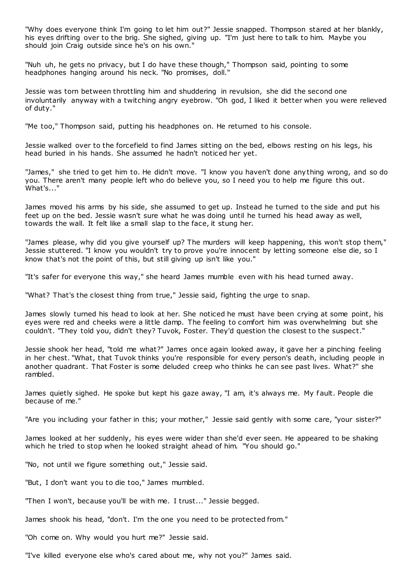"Why does everyone think I'm going to let him out?" Jessie snapped. Thompson stared at her blankly, his eyes drifting over to the brig. She sighed, giving up. "I'm just here to talk to him. Maybe you should join Craig outside since he's on his own."

"Nuh uh, he gets no privacy, but I do have these though," Thompson said, pointing to some headphones hanging around his neck. "No promises, doll."

Jessie was torn between throttling him and shuddering in revulsion, she did the second one involuntarily anyway with a twitching angry eyebrow. "Oh god, I liked it better when you were relieved of duty."

"Me too," Thompson said, putting his headphones on. He returned to his console.

Jessie walked over to the forcefield to find James sitting on the bed, elbows resting on his legs, his head buried in his hands. She assumed he hadn't noticed her yet.

"James," she tried to get him to. He didn't move. "I know you haven't done anything wrong, and so do you. There aren't many people left who do believe you, so I need you to help me figure this out. What's..."

James moved his arms by his side, she assumed to get up. Instead he turned to the side and put his feet up on the bed. Jessie wasn't sure what he was doing until he turned his head away as well, towards the wall. It felt like a small slap to the face, it stung her.

"James please, why did you give yourself up? The murders will keep happening, this won't stop them," Jessie stuttered. "I know you wouldn't try to prove you're innocent by letting someone else die, so I know that's not the point of this, but still giving up isn't like you."

"It's safer for everyone this way," she heard James mumble even with his head turned away.

"What? That's the closest thing from true," Jessie said, fighting the urge to snap.

James slowly turned his head to look at her. She noticed he must have been crying at some point, his eyes were red and cheeks were a little damp. The feeling to comfort him was overwhelming but she couldn't. "They told you, didn't they? Tuvok, Foster. They'd question the closest to the suspect."

Jessie shook her head, "told me what?" James once again looked away, it gave her a pinching feeling in her chest. "What, that Tuvok thinks you're responsible for every person's death, including people in another quadrant. That Foster is some deluded creep who thinks he can see past lives. What?" she rambled.

James quietly sighed. He spoke but kept his gaze away, "I am, it's always me. My fault. People die because of me."

"Are you including your father in this; your mother," Jessie said gently with some care, "your sister?"

James looked at her suddenly, his eyes were wider than she'd ever seen. He appeared to be shaking which he tried to stop when he looked straight ahead of him. "You should go."

"No, not until we figure something out," Jessie said.

"But, I don't want you to die too," James mumbled.

"Then I won't, because you'll be with me. I trust..." Jessie begged.

James shook his head, "don't. I'm the one you need to be protected from."

"Oh come on. Why would you hurt me?" Jessie said.

"I've killed everyone else who's cared about me, why not you?" James said.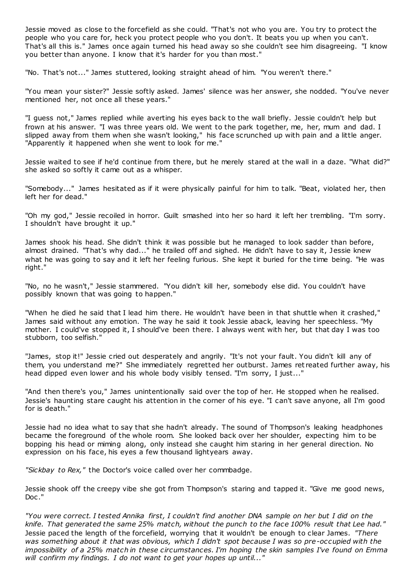Jessie moved as close to the forcefield as she could. "That's not who you are. You try to protect the people who you care for, heck you protect people who you don't. It beats you up when you can't. That's all this is." James once again turned his head away so she couldn't see him disagreeing. "I know you better than anyone. I know that it's harder for you than most."

"No. That's not..." James stuttered, looking straight ahead of him. "You weren't there."

"You mean your sister?" Jessie softly asked. James' silence was her answer, she nodded. "You've never mentioned her, not once all these years."

"I guess not," James replied while averting his eyes back to the wall briefly. Jessie couldn't help but frown at his answer. "I was three years old. We went to the park together, me, her, mum and dad. I slipped away from them when she wasn't looking," his face scrunched up with pain and a little anger. "Apparently it happened when she went to look for me."

Jessie waited to see if he'd continue from there, but he merely stared at the wall in a daze. "What did?" she asked so softly it came out as a whisper.

"Somebody..." James hesitated as if it were physically painful for him to talk. "Beat, violated her, then left her for dead."

"Oh my god," Jessie recoiled in horror. Guilt smashed into her so hard it left her trembling. "I'm sorry. I shouldn't have brought it up."

James shook his head. She didn't think it was possible but he managed to look sadder than before, almost drained. "That's why dad..." he trailed off and sighed. He didn't have to say it, Jessie knew what he was going to say and it left her feeling furious. She kept it buried for the time being. "He was right."

"No, no he wasn't," Jessie stammered. "You didn't kill her, somebody else did. You couldn't have possibly known that was going to happen."

"When he died he said that I lead him there. He wouldn't have been in that shuttle when it crashed," James said without any emotion. The way he said it took Jessie aback, leaving her speechless. "My mother. I could've stopped it, I should've been there. I always went with her, but that day I was too stubborn, too selfish."

"James, stop it!" Jessie cried out desperately and angrily. "It's not your fault. You didn't kill any of them, you understand me?" She immediately regretted her outburst. James ret reated further away, his head dipped even lower and his whole body visibly tensed. "I'm sorry, I just..."

"And then there's you," James unintentionally said over the top of her. He stopped when he realised. Jessie's haunting stare caught his attention in the corner of his eye. "I can't save anyone, all I'm good for is death."

Jessie had no idea what to say that she hadn't already. The sound of Thompson's leaking headphones became the foreground of the whole room. She looked back over her shoulder, expecting him to be bopping his head or miming along, only instead she caught him staring in her general direction. No expression on his face, his eyes a few thousand lightyears away.

*"Sickbay to Rex,"* the Doctor's voice called over her commbadge.

Jessie shook off the creepy vibe she got from Thompson's staring and tapped it. "Give me good news, Doc ."

*"You were correct. I tested Annika first, I couldn't find another DNA sample on her but I did on the knife. That generated the same 25% match, without the punch to the face 100% result that Lee had."*  Jessie paced the length of the forcefield, worrying that it wouldn't be enough to clear James. *"There was something about it that was obvious, which I didn't spot because I was so pre-occupied with the impossibility of a 25% match in these circumstances. I'm hoping the skin samples I've found on Emma will confirm my findings. I do not want to get your hopes up until..."*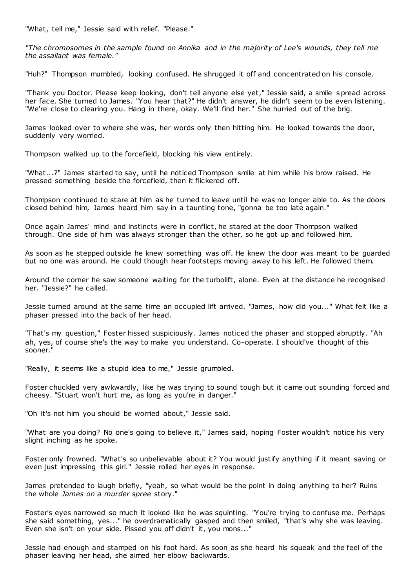"What, tell me," Jessie said with relief. "Please."

*"The chromosomes in the sample found on Annika and in the majority of Lee's wounds, they tell me the assailant was female."*

"Huh?" Thompson mumbled, looking confused. He shrugged it off and concentrated on his console.

"Thank you Doctor. Please keep looking, don't tell anyone else yet," Jessie said, a smile spread across her face. She turned to James. "You hear that?" He didn't answer, he didn't seem to be even listening. "We're close to clearing you. Hang in there, okay. We'll find her." She hurried out of the brig.

James looked over to where she was, her words only then hitting him. He looked towards the door, suddenly very worried.

Thompson walked up to the forcefield, blocking his view entirely.

"What...?" James started to say, until he noticed Thompson smile at him while his brow raised. He pressed something beside the forcefield, then it flickered off.

Thompson continued to stare at him as he turned to leave until he was no longer able to. As the doors closed behind him, James heard him say in a taunting tone, "gonna be too late again."

Once again James' mind and instincts were in conflict, he stared at the door Thompson walked through. One side of him was always stronger than the other, so he got up and followed him.

As soon as he stepped outside he knew something was off. He knew the door was meant to be guarded but no one was around. He could though hear footsteps moving away to his left. He followed them.

Around the corner he saw someone waiting for the turbolift, alone. Even at the distance he recognised her. "Jessie?" he called.

Jessie turned around at the same time an occupied lift arrived. "James, how did you..." What felt like a phaser pressed into the back of her head.

"That's my question," Foster hissed suspiciously. James noticed the phaser and stopped abruptly. "Ah ah, yes, of course she's the way to make you understand. Co-operate. I should've thought of this sooner."

"Really, it seems like a stupid idea to me," Jessie grumbled.

Foster chuckled very awkwardly, like he was trying to sound tough but it came out sounding forced and cheesy. "Stuart won't hurt me, as long as you're in danger."

"Oh it's not him you should be worried about," Jessie said.

"What are you doing? No one's going to believe it," James said, hoping Foster wouldn't notice his very slight inching as he spoke.

Foster only frowned. "What's so unbelievable about it? You would justify anything if it meant saving or even just impressing this girl." Jessie rolled her eyes in response.

James pretended to laugh briefly, "yeah, so what would be the point in doing anything to her? Ruins the whole *James on a murder spree* story."

Foster's eyes narrowed so much it looked like he was squinting. "You're trying to confuse me. Perhaps she said something, yes..." he overdramatically gasped and then smiled, "that's why she was leaving. Even she isn't on your side. Pissed you off didn't it, you mons..."

Jessie had enough and stamped on his foot hard. As soon as she heard his squeak and the feel of the phaser leaving her head, she aimed her elbow backwards.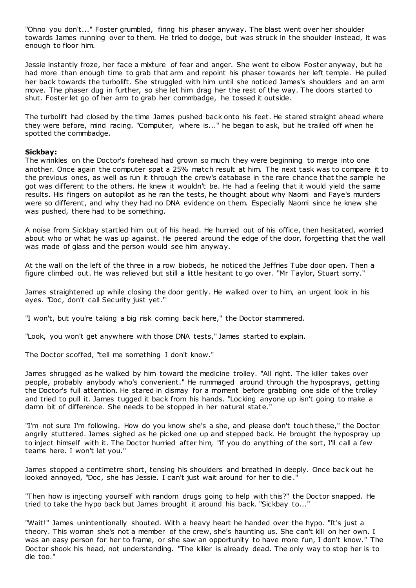"Ohno you don't..." Foster grumbled, firing his phaser anyway. The blast went over her shoulder towards James running over to them. He tried to dodge, but was struck in the shoulder instead, it was enough to floor him.

Jessie instantly froze, her face a mixture of fear and anger. She went to elbow Foster anyway, but he had more than enough time to grab that arm and repoint his phaser towards her left temple. He pulled her back towards the turbolift. She struggled with him until she noticed James's shoulders and an arm move. The phaser dug in further, so she let him drag her the rest of the way. The doors started to shut. Foster let go of her arm to grab her commbadge, he tossed it outside.

The turbolift had closed by the time James pushed back onto his feet. He stared straight ahead where they were before, mind racing. "Computer, where is..." he began to ask, but he trailed off when he spotted the commbadge.

# **Sickbay:**

The wrinkles on the Doctor's forehead had grown so much they were beginning to merge into one another. Once again the computer spat a 25% match result at him. The next task was to compare it to the previous ones, as well as run it through the crew's database in the rare chance that the sample he got was different to the others. He knew it wouldn't be. He had a feeling that it would yield the same results. His fingers on autopilot as he ran the tests, he thought about why Naomi and Faye's murders were so different, and why they had no DNA evidence on them. Especially Naomi since he knew she was pushed, there had to be something.

A noise from Sickbay startled him out of his head. He hurried out of his office, then hesitated, worried about who or what he was up against. He peered around the edge of the door, forgetting that the wall was made of glass and the person would see him anyway.

At the wall on the left of the three in a row biobeds, he noticed the Jeffries Tube door open. Then a figure climbed out. He was relieved but still a little hesitant to go over. "Mr Taylor, Stuart sorry."

James straightened up while closing the door gently. He walked over to him, an urgent look in his eyes. "Doc, don't call Security just yet."

"I won't, but you're taking a big risk coming back here," the Doctor stammered.

"Look, you won't get anywhere with those DNA tests," James started to explain.

The Doctor scoffed, "tell me something I don't know."

James shrugged as he walked by him toward the medicine trolley. "All right. The killer takes over people, probably anybody who's convenient." He rummaged around through the hyposprays, getting the Doctor's full attention. He stared in dismay for a moment before grabbing one side of the trolley and tried to pull it. James tugged it back from his hands. "Locking anyone up isn't going to make a damn bit of difference. She needs to be stopped in her natural state.

"I'm not sure I'm following. How do you know she's a she, and please don't touch these," the Doctor angrily stuttered. James sighed as he picked one up and stepped back. He brought the hypospray up to inject himself with it. The Doctor hurried after him, "if you do anything of the sort, I'll call a few teams here. I won't let you."

James stopped a centimetre short, tensing his shoulders and breathed in deeply. Once back out he looked annoyed, "Doc, she has Jessie. I can't just wait around for her to die.'

"Then how is injecting yourself with random drugs going to help with this?" the Doctor snapped. He tried to take the hypo back but James brought it around his back. "Sickbay to..."

"Wait!" James unintentionally shouted. With a heavy heart he handed over the hypo. "It's just a theory. This woman she's not a member of the crew, she's haunting us. She can't kill on her own. I was an easy person for her to frame, or she saw an opportunity to have more fun, I don't know." The Doctor shook his head, not understanding. "The killer is already dead. The only way to stop her is to die too."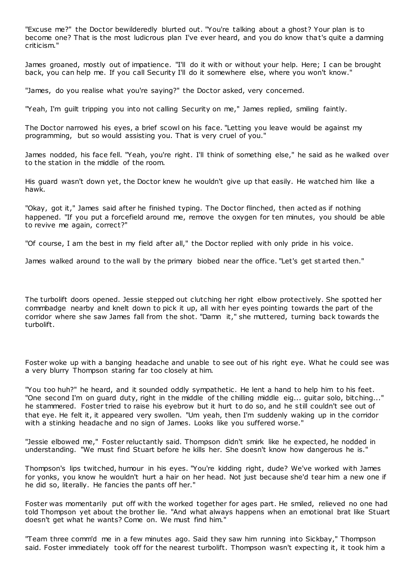"Excuse me?" the Doctor bewilderedly blurted out. "You're talking about a ghost? Your plan is to become one? That is the most ludicrous plan I've ever heard, and you do know that's quite a damning criticism."

James groaned, mostly out of impatience. "I'll do it with or without your help. Here; I can be brought back, you can help me. If you call Security I'll do it somewhere else, where you won't know."

"James, do you realise what you're saying?" the Doctor asked, very concerned.

"Yeah, I'm guilt tripping you into not calling Security on me," James replied, smiling faintly.

The Doctor narrowed his eyes, a brief scowl on his face. "Letting you leave would be against my programming, but so would assisting you. That is very cruel of you."

James nodded, his face fell. "Yeah, you're right. I'll think of something else," he said as he walked over to the station in the middle of the room.

His guard wasn't down yet, the Doctor knew he wouldn't give up that easily. He watched him like a hawk.

"Okay, got it," James said after he finished typing. The Doctor flinched, then acted as if nothing happened. "If you put a forcefield around me, remove the oxygen for ten minutes, you should be able to revive me again, correct?"

"Of course, I am the best in my field after all," the Doctor replied with only pride in his voice.

James walked around to the wall by the primary biobed near the office. "Let's get st arted then."

The turbolift doors opened. Jessie stepped out clutching her right elbow protectively. She spotted her commbadge nearby and knelt down to pick it up, all with her eyes pointing towards the part of the corridor where she saw James fall from the shot. "Damn it," she muttered, turning back towards the turbolift.

Foster woke up with a banging headache and unable to see out of his right eye. What he could see was a very blurry Thompson staring far too closely at him.

"You too huh?" he heard, and it sounded oddly sympathetic . He lent a hand to help him to his feet. "One second I'm on guard duty, right in the middle of the chilling middle eig... guitar solo, bitching..." he stammered. Foster tried to raise his eyebrow but it hurt to do so, and he still couldn't see out of that eye. He felt it, it appeared very swollen. "Um yeah, then I'm suddenly waking up in the corridor with a stinking headache and no sign of James. Looks like you suffered worse."

"Jessie elbowed me," Foster reluctantly said. Thompson didn't smirk like he expected, he nodded in understanding. "We must find Stuart before he kills her. She doesn't know how dangerous he is."

Thompson's lips twitched, humour in his eyes. "You're kidding right, dude? We've worked with James for yonks, you know he wouldn't hurt a hair on her head. Not just because she'd tear him a new one if he did so, literally. He fancies the pants off her."

Foster was momentarily put off with the worked together for ages part. He smiled, relieved no one had told Thompson yet about the brother lie. "And what always happens when an emotional brat like Stuart doesn't get what he wants? Come on. We must find him."

"Team three comm'd me in a few minutes ago. Said they saw him running into Sickbay," Thompson said. Foster immediately took off for the nearest turbolift. Thompson wasn't expecting it, it took him a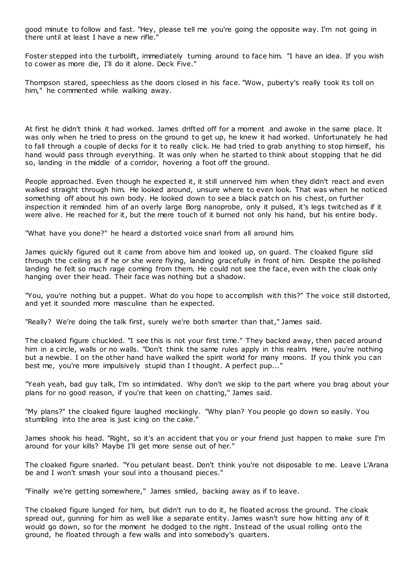good minute to follow and fast. "Hey, please tell me you're going the opposite way. I'm not going in there until at least I have a new rifle.

Foster stepped into the turbolift, immediately turning around to face him. "I have an idea. If you wish to cower as more die, I'll do it alone. Deck Five."

Thompson stared, speechless as the doors closed in his face. "Wow, puberty's really took its toll on him," he commented while walking away.

At first he didn't think it had worked. James drifted off for a moment and awoke in the same place. It was only when he tried to press on the ground to get up, he knew it had worked. Unfortunately he had to fall through a couple of decks for it to really click. He had tried to grab anything to stop himself, his hand would pass through everything. It was only when he started to think about stopping that he did so, landing in the middle of a corridor, hovering a foot off the ground.

People approached. Even though he expected it, it still unnerved him when they didn't react and even walked straight through him. He looked around, unsure where to even look. That was when he noticed something off about his own body. He looked down to see a black patch on his chest, on further inspection it reminded him of an overly large Borg nanoprobe, only it pulsed, it's legs twitched as if it were alive. He reached for it, but the mere touch of it burned not only his hand, but his entire body.

"What have you done?" he heard a distorted voice snarl from all around him.

James quickly figured out it came from above him and looked up, on guard. The cloaked figure slid through the ceiling as if he or she were flying, landing gracefully in front of him. Despite the polished landing he felt so much rage coming from them. He could not see the face, even with the cloak only hanging over their head. Their face was nothing but a shadow.

"You, you're nothing but a puppet. What do you hope to accomplish with this?" The voice still distorted, and yet it sounded more masculine than he expected.

"Really? We're doing the talk first, surely we're both smarter than that," James said.

The cloaked figure chuckled. "I see this is not your first time." They backed away, then paced around him in a circle, walls or no walls. "Don't think the same rules apply in this realm. Here, you're nothing but a newbie. I on the other hand have walked the spirit world for many moons. If you think you can best me, you're more impulsively stupid than I thought. A perfect pup..."

"Yeah yeah, bad guy talk, I'm so intimidated. Why don't we skip to the part where you brag about your plans for no good reason, if you're that keen on chatting," James said.

"My plans?" the cloaked figure laughed mockingly. "Why plan? You people go down so easily. You stumbling into the area is just icing on the cake."

James shook his head. "Right, so it's an accident that you or your friend just happen to make sure I'm around for your kills? Maybe I'll get more sense out of her."

The cloaked figure snarled. "You petulant beast. Don't think you're not disposable to me. Leave L'Arana be and I won't smash your soul into a thousand pieces."

"Finally we're getting somewhere," James smiled, backing away as if to leave.

The cloaked figure lunged for him, but didn't run to do it, he floated across the ground. The cloak spread out, gunning for him as well like a separate entity. James wasn't sure how hitting any of it would go down, so for the moment he dodged to the right. Instead of the usual rolling onto the ground, he floated through a few walls and into somebody's quarters.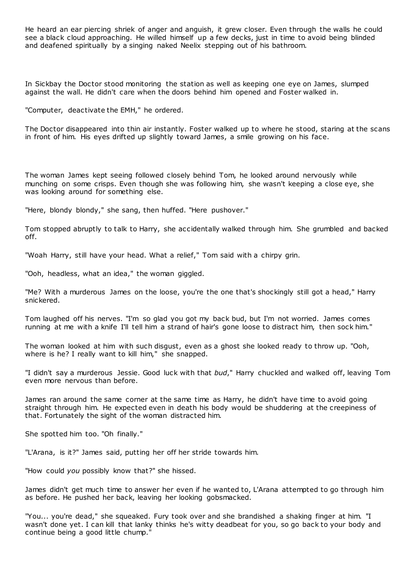He heard an ear piercing shriek of anger and anguish, it grew closer. Even through the walls he could see a black cloud approaching. He willed himself up a few decks, just in time to avoid being blinded and deafened spiritually by a singing naked Neelix stepping out of his bathroom.

In Sickbay the Doctor stood monitoring the station as well as keeping one eye on James, slumped against the wall. He didn't care when the doors behind him opened and Foster walked in.

"Computer, deactivate the EMH," he ordered.

The Doctor disappeared into thin air instantly. Foster walked up to where he stood, staring at the scans in front of him. His eyes drifted up slightly toward James, a smile growing on his face.

The woman James kept seeing followed closely behind Tom, he looked around nervously while munching on some crisps. Even though she was following him, she wasn't keeping a close eye, she was looking around for something else.

"Here, blondy blondy," she sang, then huffed. "Here pushover."

Tom stopped abruptly to talk to Harry, she accidentally walked through him. She grumbled and backed off.

"Woah Harry, still have your head. What a relief," Tom said with a chirpy grin.

"Ooh, headless, what an idea," the woman giggled.

"Me? With a murderous James on the loose, you're the one that's shockingly still got a head," Harry snickered.

Tom laughed off his nerves. "I'm so glad you got my back bud, but I'm not worried. James comes running at me with a knife I'll tell him a strand of hair's gone loose to distract him, then sock him."

The woman looked at him with such disgust, even as a ghost she looked ready to throw up. "Ooh, where is he? I really want to kill him," she snapped.

"I didn't say a murderous Jessie. Good luck with that *bud*," Harry chuckled and walked off, leaving Tom even more nervous than before.

James ran around the same corner at the same time as Harry, he didn't have time to avoid going straight through him. He expected even in death his body would be shuddering at the creepiness of that. Fortunately the sight of the woman distracted him.

She spotted him too. "Oh finally."

"L'Arana, is it?" James said, putting her off her stride towards him.

"How could *you* possibly know that?" she hissed.

James didn't get much time to answer her even if he wanted to, L'Arana attempted to go through him as before. He pushed her back, leaving her looking gobsmacked.

"You... you're dead," she squeaked. Fury took over and she brandished a shaking finger at him. "I wasn't done yet. I can kill that lanky thinks he's witty deadbeat for you, so go back to your body and continue being a good little chump."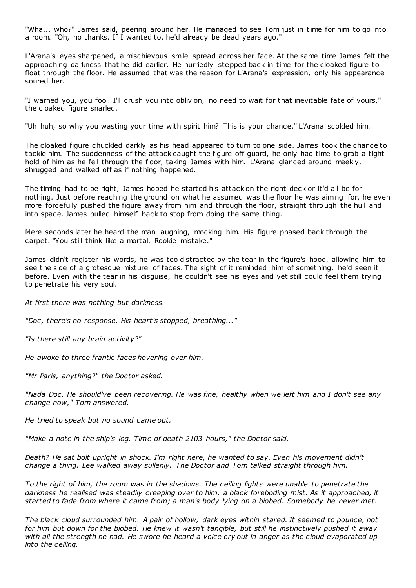"Wha... who?" James said, peering around her. He managed to see Tom just in time for him to go into a room. "Oh, no thanks. If I wanted to, he'd already be dead years ago."

L'Arana's eyes sharpened, a mischievous smile spread across her face. At the same time James felt the approaching darkness that he did earlier. He hurriedly stepped back in time for the cloaked figure to float through the floor. He assumed that was the reason for L'Arana's expression, only his appearance soured her.

"I warned you, you fool. I'll crush you into oblivion, no need to wait for that inevitable fate of yours," the cloaked figure snarled.

"Uh huh, so why you wasting your time with spirit him? This is your chance," L'Arana scolded him.

The cloaked figure chuckled darkly as his head appeared to turn to one side. James took the chance to tackle him. The suddenness of the attack caught the figure off guard, he only had time to grab a tight hold of him as he fell through the floor, taking James with him. L'Arana glanced around meekly, shrugged and walked off as if nothing happened.

The timing had to be right, James hoped he started his attack on the right deck or it'd all be for nothing. Just before reaching the ground on what he assumed was the floor he was aiming for, he even more forcefully pushed the figure away from him and through the floor, straight through the hull and into space. James pulled himself back to stop from doing the same thing.

Mere seconds later he heard the man laughing, mocking him. His figure phased back through the carpet. "You still think like a mortal. Rookie mistake."

James didn't register his words, he was too distracted by the tear in the figure's hood, allowing him to see the side of a grotesque mixture of faces. The sight of it reminded him of something, he'd seen it before. Even with the tear in his disguise, he couldn't see his eyes and yet still could feel them trying to penetrate his very soul.

*At first there was nothing but darkness.*

*"Doc , there's no response. His heart's stopped, breathing..."*

*"Is there still any brain activity?"*

*He awoke to three frantic faces hovering over him.*

*"Mr Paris, anything?" the Doctor asked.*

*"Nada Doc . He should've been recovering. He was fine, healthy when we left him and I don't see any change now," Tom answered.*

*He tried to speak but no sound came out.*

*"Make a note in the ship's log. Time of death 2103 hours," the Doctor said.*

*Death? He sat bolt upright in shock. I'm right here, he wanted to say. Even his movement didn't change a thing. Lee walked away sullenly. The Doctor and Tom talked straight through him.*

*To the right of him, the room was in the shadows. The ceiling lights were unable to penetrate the darkness he realised was steadily creeping over to him, a black foreboding mist. As it approached, it started to fade from where it came from; a man's body lying on a biobed. Somebody he never met.*

*The black cloud surrounded him. A pair of hollow, dark eyes within stared. It seemed to pounce, not for him but down for the biobed. He knew it wasn't tangible, but still he instinctively pushed it away with all the strength he had. He swore he heard a voice cry out in anger as the cloud evaporated up into the ceiling.*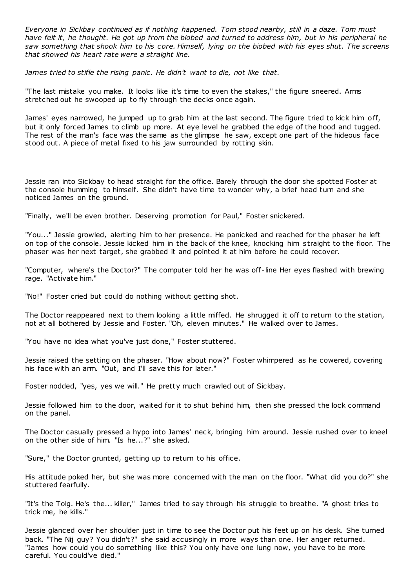*Everyone in Sickbay continued as if nothing happened. Tom stood nearby, still in a daze. Tom must have felt it, he thought. He got up from the biobed and turned to address him, but in his peripheral he saw something that shook him to his core. Himself, lying on the biobed with his eyes shut. The screens that showed his heart rate were a straight line.*

*James tried to stifle the rising panic . He didn't want to die, not like that.*

"The last mistake you make. It looks like it's time to even the stakes," the figure sneered. Arms stretched out he swooped up to fly through the decks once again.

James' eyes narrowed, he jumped up to grab him at the last second. The figure tried to kick him off, but it only forced James to climb up more. At eye level he grabbed the edge of the hood and tugged. The rest of the man's face was the same as the glimpse he saw, except one part of the hideous face stood out. A piece of metal fixed to his jaw surrounded by rotting skin.

Jessie ran into Sickbay to head straight for the office. Barely through the door she spotted Foster at the console humming to himself. She didn't have time to wonder why, a brief head turn and she noticed James on the ground.

"Finally, we'll be even brother. Deserving promotion for Paul," Foster snickered.

"You..." Jessie growled, alerting him to her presence. He panicked and reached for the phaser he left on top of the console. Jessie kicked him in the back of the knee, knocking him straight to the floor. The phaser was her next target, she grabbed it and pointed it at him before he could recover.

"Computer, where's the Doctor?" The computer told her he was off -line Her eyes flashed with brewing rage. "Activate him."

"No!" Foster cried but could do nothing without getting shot.

The Doctor reappeared next to them looking a little miffed. He shrugged it off to return to the station, not at all bothered by Jessie and Foster. "Oh, eleven minutes." He walked over to James.

"You have no idea what you've just done," Foster stuttered.

Jessie raised the setting on the phaser. "How about now?" Foster whimpered as he cowered, covering his face with an arm. "Out, and I'll save this for later."

Foster nodded, "yes, yes we will." He pretty much crawled out of Sickbay.

Jessie followed him to the door, waited for it to shut behind him, then she pressed the lock command on the panel.

The Doctor casually pressed a hypo into James' neck, bringing him around. Jessie rushed over to kneel on the other side of him. "Is he...?" she asked.

"Sure," the Doctor grunted, getting up to return to his office.

His attitude poked her, but she was more concerned with the man on the floor. "What did you do?" she stuttered fearfully.

"It's the Tolg. He's the... killer," James tried to say through his struggle to breathe. "A ghost tries to trick me, he kills."

Jessie glanced over her shoulder just in time to see the Doctor put his feet up on his desk. She turned back. "The Nij guy? You didn't?" she said accusingly in more ways than one. Her anger returned. "James how could you do something like this? You only have one lung now, you have to be more careful. You could've died."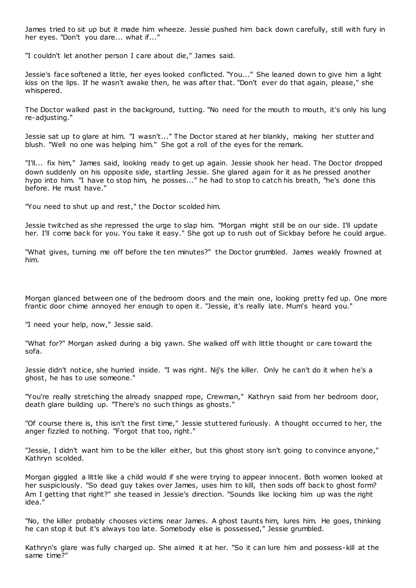James tried to sit up but it made him wheeze. Jessie pushed him back down carefully, still with fury in her eyes. "Don't you dare... what if..."

"I couldn't let another person I care about die," James said.

Jessie's face softened a little, her eyes looked conflicted. "You..." She leaned down to give him a light kiss on the lips. If he wasn't awake then, he was after that. "Don't ever do that again, please," she whispered.

The Doctor walked past in the background, tutting. "No need for the mouth to mouth, it's only his lung re-adjusting."

Jessie sat up to glare at him. "I wasn't..." The Doctor stared at her blankly, making her stutter and blush. "Well no one was helping him." She got a roll of the eyes for the remark.

"I'll... fix him," James said, looking ready to get up again. Jessie shook her head. The Doctor dropped down suddenly on his opposite side, startling Jessie. She glared again for it as he pressed another hypo into him. "I have to stop him, he posses..." he had to stop to catch his breath, "he's done this before. He must have."

"You need to shut up and rest," the Doctor scolded him.

Jessie twitched as she repressed the urge to slap him. "Morgan might still be on our side. I'll update her. I'll come back for you. You take it easy." She got up to rush out of Sickbay before he could argue.

"What gives, turning me off before the ten minutes?" the Doctor grumbled. James weakly frowned at him.

Morgan glanced between one of the bedroom doors and the main one, looking pretty fed up. One more frantic door chime annoyed her enough to open it. "Jessie, it's really late. Mum's heard you."

"I need your help, now," Jessie said.

"What for?" Morgan asked during a big yawn. She walked off with little thought or care toward the sofa.

Jessie didn't notice, she hurried inside. "I was right. Nij's the killer. Only he can't do it when he's a ghost, he has to use someone."

"You're really stretching the already snapped rope, Crewman," Kathryn said from her bedroom door, death glare building up. "There's no such things as ghosts."

"Of course there is, this isn't the first time," Jessie stuttered furiously. A thought occurred to her, the anger fizzled to nothing. "Forgot that too, right."

"Jessie, I didn't want him to be the killer either, but this ghost story isn't going to convince anyone," Kathryn scolded.

Morgan giggled a little like a child would if she were trying to appear innocent. Both women looked at her suspiciously. "So dead guy takes over James, uses him to kill, then sods off back to ghost form? Am I getting that right?" she teased in Jessie's direction. "Sounds like locking him up was the right idea."

"No, the killer probably chooses victims near James. A ghost taunts him, lures him. He goes, thinking he can stop it but it's always too late. Somebody else is possessed," Jessie grumbled.

Kathryn's glare was fully charged up. She aimed it at her. "So it can lure him and possess-kill at the same time?"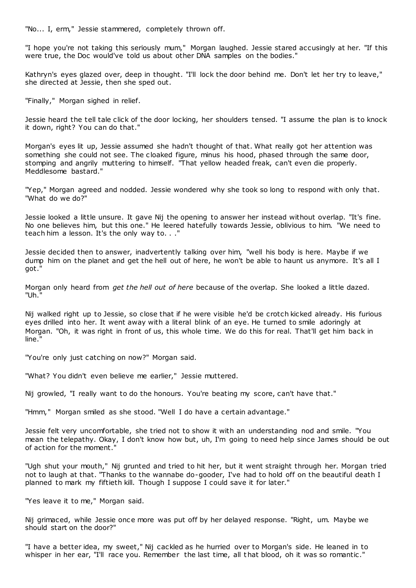"No... I, erm," Jessie stammered, completely thrown off.

"I hope you're not taking this seriously mum," Morgan laughed. Jessie stared accusingly at her. "If this were true, the Doc would've told us about other DNA samples on the bodies."

Kathryn's eyes glazed over, deep in thought. "I'll lock the door behind me. Don't let her try to leave," she directed at Jessie, then she sped out.

"Finally," Morgan sighed in relief.

Jessie heard the tell tale click of the door locking, her shoulders tensed. "I assume the plan is to knock it down, right? You can do that."

Morgan's eyes lit up, Jessie assumed she hadn't thought of that. What really got her attention was something she could not see. The cloaked figure, minus his hood, phased through the same door, stomping and angrily muttering to himself. "That yellow headed freak, can't even die properly. Meddlesome bastard."

"Yep," Morgan agreed and nodded. Jessie wondered why she took so long to respond with only that. "What do we do?"

Jessie looked a little unsure. It gave Nij the opening to answer her instead without overlap. "It's fine. No one believes him, but this one." He leered hatefully towards Jessie, oblivious to him. "We need to teach him a lesson. It's the only way to. . ."

Jessie decided then to answer, inadvertently talking over him, "well his body is here. Maybe if we dump him on the planet and get the hell out of here, he won't be able to haunt us anymore. It's all I got."

Morgan only heard from *get the hell out of here* because of the overlap. She looked a little dazed. "Uh."

Nij walked right up to Jessie, so close that if he were visible he'd be crotch kicked already. His furious eyes drilled into her. It went away with a literal blink of an eye. He turned to smile adoringly at Morgan. "Oh, it was right in front of us, this whole time. We do this for real. That'll get him back in line."

"You're only just catching on now?" Morgan said.

"What? You didn't even believe me earlier," Jessie muttered.

Nij growled, "I really want to do the honours. You're beating my score, can't have that."

"Hmm," Morgan smiled as she stood. "Well I do have a certain advantage."

Jessie felt very uncomfortable, she tried not to show it with an understanding nod and smile. "You mean the telepathy. Okay, I don't know how but, uh, I'm going to need help since James should be out of action for the moment."

"Ugh shut your mouth," Nij grunted and tried to hit her, but it went straight through her. Morgan tried not to laugh at that. "Thanks to the wannabe do-gooder, I've had to hold off on the beautiful death I planned to mark my fiftieth kill. Though I suppose I could save it for later."

"Yes leave it to me," Morgan said.

Nij grimaced, while Jessie once more was put off by her delayed response. "Right, um. Maybe we should start on the door?"

"I have a better idea, my sweet," Nij cackled as he hurried over to Morgan's side. He leaned in to whisper in her ear, "I'll race you. Remember the last time, all that blood, oh it was so romantic."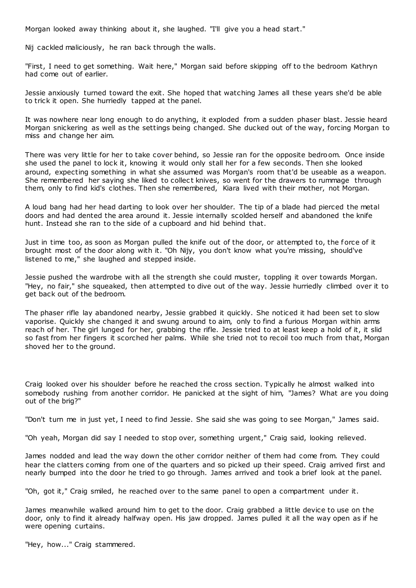Morgan looked away thinking about it, she laughed. "I'll give you a head start."

Nij cackled maliciously, he ran back through the walls.

"First, I need to get something. Wait here," Morgan said before skipping off to the bedroom Kathryn had come out of earlier.

Jessie anxiously turned toward the exit. She hoped that watching James all these years she'd be able to trick it open. She hurriedly tapped at the panel.

It was nowhere near long enough to do anything, it exploded from a sudden phaser blast. Jessie heard Morgan snickering as well as the settings being changed. She ducked out of the way, forcing Morgan to miss and change her aim.

There was very little for her to take cover behind, so Jessie ran for the opposite bedroom. Once inside she used the panel to lock it, knowing it would only stall her for a few seconds. Then she looked around, expecting something in what she assumed was Morgan's room that'd be useable as a weapon. She remembered her saying she liked to collect knives, so went for the drawers to rummage through them, only to find kid's clothes. Then she remembered, Kiara lived with their mother, not Morgan.

A loud bang had her head darting to look over her shoulder. The tip of a blade had pierced the metal doors and had dented the area around it. Jessie internally scolded herself and abandoned the knife hunt. Instead she ran to the side of a cupboard and hid behind that.

Just in time too, as soon as Morgan pulled the knife out of the door, or attempted to, the force of it brought most of the door along with it. "Oh Nijy, you don't know what you're missing, should've listened to me," she laughed and stepped inside.

Jessie pushed the wardrobe with all the strength she could muster, toppling it over towards Morgan. "Hey, no fair," she squeaked, then attempted to dive out of the way. Jessie hurriedly climbed over it to get back out of the bedroom.

The phaser rifle lay abandoned nearby, Jessie grabbed it quickly. She noticed it had been set to slow vaporise. Quickly she changed it and swung around to aim, only to find a furious Morgan within arms reach of her. The girl lunged for her, grabbing the rifle. Jessie tried to at least keep a hold of it, it slid so fast from her fingers it scorched her palms. While she tried not to recoil too much from that, Morgan shoved her to the ground.

Craig looked over his shoulder before he reached the cross section. Typically he almost walked into somebody rushing from another corridor. He panicked at the sight of him, "James? What are you doing out of the brig?"

"Don't turn me in just yet, I need to find Jessie. She said she was going to see Morgan," James said.

"Oh yeah, Morgan did say I needed to stop over, something urgent," Craig said, looking relieved.

James nodded and lead the way down the other corridor neither of them had come from. They could hear the clatters coming from one of the quarters and so picked up their speed. Craig arrived first and nearly bumped into the door he tried to go through. James arrived and took a brief look at the panel.

"Oh, got it," Craig smiled, he reached over to the same panel to open a compartment under it.

James meanwhile walked around him to get to the door. Craig grabbed a little device to use on the door, only to find it already halfway open. His jaw dropped. James pulled it all the way open as if he were opening curtains.

"Hey, how..." Craig stammered.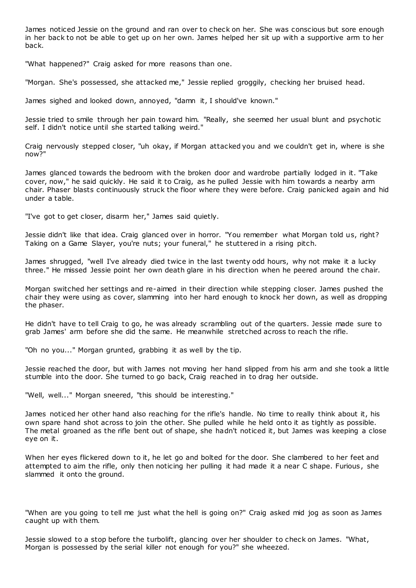James noticed Jessie on the ground and ran over to check on her. She was conscious but sore enough in her back to not be able to get up on her own. James helped her sit up with a supportive arm to her back.

"What happened?" Craig asked for more reasons than one.

"Morgan. She's possessed, she attacked me," Jessie replied groggily, checking her bruised head.

James sighed and looked down, annoyed, "damn it, I should've known."

Jessie tried to smile through her pain toward him. "Really, she seemed her usual blunt and psychotic self. I didn't notice until she started talking weird."

Craig nervously stepped closer, "uh okay, if Morgan attacked you and we couldn't get in, where is she now?"

James glanced towards the bedroom with the broken door and wardrobe partially lodged in it. "Take cover, now," he said quickly. He said it to Craig, as he pulled Jessie with him towards a nearby arm chair. Phaser blasts continuously struck the floor where they were before. Craig panicked again and hid under a table.

"I've got to get closer, disarm her," James said quietly.

Jessie didn't like that idea. Craig glanced over in horror. "You remember what Morgan told us, right? Taking on a Game Slayer, you're nuts; your funeral," he stuttered in a rising pitch.

James shrugged, "well I've already died twice in the last twenty odd hours, why not make it a lucky three." He missed Jessie point her own death glare in his direction when he peered around the chair.

Morgan switched her settings and re-aimed in their direction while stepping closer. James pushed the chair they were using as cover, slamming into her hard enough to knock her down, as well as dropping the phaser.

He didn't have to tell Craig to go, he was already scrambling out of the quarters. Jessie made sure to grab James' arm before she did the same. He meanwhile stretched across to reach the rifle.

"Oh no you..." Morgan grunted, grabbing it as well by the tip.

Jessie reached the door, but with James not moving her hand slipped from his arm and she took a little stumble into the door. She turned to go back, Craig reached in to drag her outside.

"Well, well..." Morgan sneered, "this should be interesting."

James noticed her other hand also reaching for the rifle's handle. No time to really think about it, his own spare hand shot across to join the other. She pulled while he held onto it as tightly as possible. The metal groaned as the rifle bent out of shape, she hadn't noticed it, but James was keeping a close eye on it.

When her eyes flickered down to it, he let go and bolted for the door. She clambered to her feet and attempted to aim the rifle, only then noticing her pulling it had made it a near C shape. Furious , she slammed it onto the ground.

"When are you going to tell me just what the hell is going on?" Craig asked mid jog as soon as James caught up with them.

Jessie slowed to a stop before the turbolift, glancing over her shoulder to check on James. "What, Morgan is possessed by the serial killer not enough for you?" she wheezed.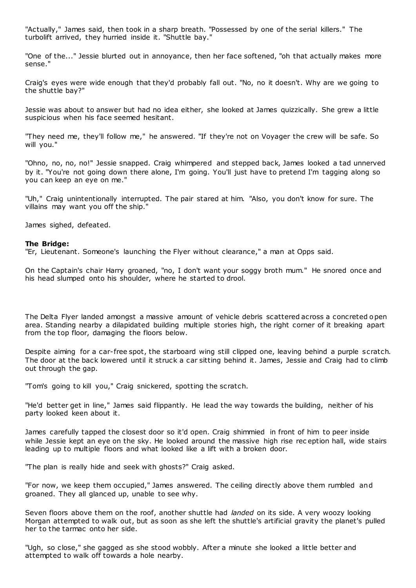"Actually," James said, then took in a sharp breath. "Possessed by one of the serial killers." The turbolift arrived, they hurried inside it. "Shuttle bay."

"One of the..." Jessie blurted out in annoyance, then her face softened, "oh that actually makes more sense."

Craig's eyes were wide enough that they'd probably fall out. "No, no it doesn't. Why are we going to the shuttle bay?"

Jessie was about to answer but had no idea either, she looked at James quizzically. She grew a little suspicious when his face seemed hesitant.

"They need me, they'll follow me," he answered. "If they're not on Voyager the crew will be safe. So will you."

"Ohno, no, no, no!" Jessie snapped. Craig whimpered and stepped back, James looked a tad unnerved by it. "You're not going down there alone, I'm going. You'll just have to pretend I'm tagging along so you can keep an eye on me."

"Uh," Craig unintentionally interrupted. The pair stared at him. "Also, you don't know for sure. The villains may want you off the ship."

James sighed, defeated.

#### **The Bridge:**

"Er, Lieutenant. Someone's launching the Flyer without clearance," a man at Opps said.

On the Captain's chair Harry groaned, "no, I don't want your soggy broth mum." He snored once and his head slumped onto his shoulder, where he started to drool.

The Delta Flyer landed amongst a massive amount of vehicle debris scattered across a concreted open area. Standing nearby a dilapidated building multiple stories high, the right corner of it breaking apart from the top floor, damaging the floors below.

Despite aiming for a car-free spot, the starboard wing still clipped one, leaving behind a purple scratch. The door at the back lowered until it struck a car sitting behind it. James, Jessie and Craig had to climb out through the gap.

"Tom's going to kill you," Craig snickered, spotting the scratch.

"He'd better get in line," James said flippantly. He lead the way towards the building, neither of his party looked keen about it.

James carefully tapped the closest door so it'd open. Craig shimmied in front of him to peer inside while Jessie kept an eye on the sky. He looked around the massive high rise rec eption hall, wide stairs leading up to multiple floors and what looked like a lift with a broken door.

"The plan is really hide and seek with ghosts?" Craig asked.

"For now, we keep them occupied," James answered. The ceiling directly above them rumbled and groaned. They all glanced up, unable to see why.

Seven floors above them on the roof, another shuttle had *landed* on its side. A very woozy looking Morgan attempted to walk out, but as soon as she left the shuttle's artificial gravity the planet's pulled her to the tarmac onto her side.

"Ugh, so close," she gagged as she stood wobbly. After a minute she looked a little better and attempted to walk off towards a hole nearby.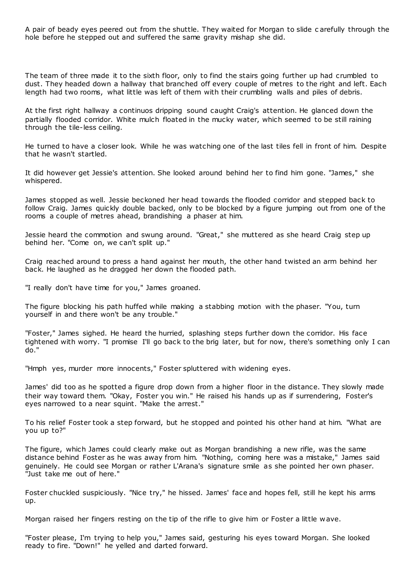A pair of beady eyes peered out from the shuttle. They waited for Morgan to slide c arefully through the hole before he stepped out and suffered the same gravity mishap she did.

The team of three made it to the sixth floor, only to find the stairs going further up had crumbled to dust. They headed down a hallway that branched off every couple of metres to the right and left. Each length had two rooms, what little was left of them with their crumbling walls and piles of debris.

At the first right hallway a continuos dripping sound caught Craig's attention. He glanced down the partially flooded corridor. White mulch floated in the mucky water, which seemed to be still raining through the tile-less ceiling.

He turned to have a closer look. While he was watching one of the last tiles fell in front of him. Despite that he wasn't startled.

It did however get Jessie's attention. She looked around behind her to find him gone. "James," she whispered.

James stopped as well. Jessie beckoned her head towards the flooded corridor and stepped back to follow Craig. James quickly double backed, only to be blocked by a figure jumping out from one of the rooms a couple of metres ahead, brandishing a phaser at him.

Jessie heard the commotion and swung around. "Great," she muttered as she heard Craig step up behind her. "Come on, we can't split up."

Craig reached around to press a hand against her mouth, the other hand twisted an arm behind her back. He laughed as he dragged her down the flooded path.

"I really don't have time for you," James groaned.

The figure blocking his path huffed while making a stabbing motion with the phaser. "You, turn yourself in and there won't be any trouble."

"Foster," James sighed. He heard the hurried, splashing steps further down the corridor. His face tightened with worry. "I promise I'll go back to the brig later, but for now, there's something only I can do."

"Hmph yes, murder more innocents," Foster spluttered with widening eyes.

James' did too as he spotted a figure drop down from a higher floor in the distance. They slowly made their way toward them. "Okay, Foster you win." He raised his hands up as if surrendering, Foster's eyes narrowed to a near squint. "Make the arrest."

To his relief Foster took a step forward, but he stopped and pointed his other hand at him. "What are you up to?"

The figure, which James could clearly make out as Morgan brandishing a new rifle, was the same distance behind Foster as he was away from him. "Nothing, coming here was a mistake," James said genuinely. He could see Morgan or rather L'Arana's signature smile as she pointed her own phaser. "Just take me out of here."

Foster chuckled suspiciously. "Nice try," he hissed. James' face and hopes fell, still he kept his arms up.

Morgan raised her fingers resting on the tip of the rifle to give him or Foster a little wave.

"Foster please, I'm trying to help you," James said, gesturing his eyes toward Morgan. She looked ready to fire. "Down!" he yelled and darted forward.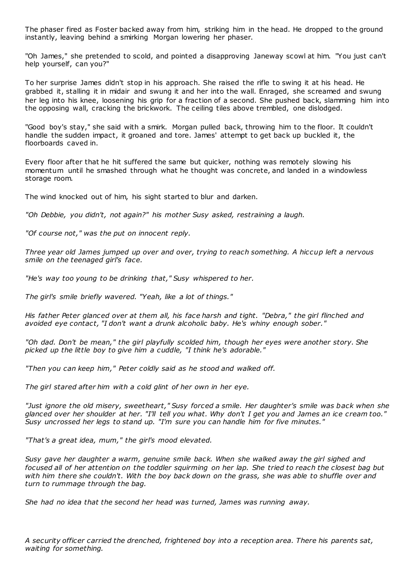The phaser fired as Foster backed away from him, striking him in the head. He dropped to the ground instantly, leaving behind a smirking Morgan lowering her phaser.

"Oh James," she pretended to scold, and pointed a disapproving Janeway scowl at him. "You just can't help yourself, can you?"

To her surprise James didn't stop in his approach. She raised the rifle to swing it at his head. He grabbed it, stalling it in midair and swung it and her into the wall. Enraged, she screamed and swung her leg into his knee, loosening his grip for a fraction of a second. She pushed back, slamming him into the opposing wall, cracking the brickwork. The ceiling tiles above trembled, one dislodged.

"Good boy's stay," she said with a smirk. Morgan pulled back, throwing him to the floor. It couldn't handle the sudden impact, it groaned and tore. James' attempt to get back up buckled it, the floorboards caved in.

Every floor after that he hit suffered the same but quicker, nothing was remotely slowing his momentum until he smashed through what he thought was concrete, and landed in a windowless storage room.

The wind knocked out of him, his sight started to blur and darken.

*"Oh Debbie, you didn't, not again?" his mother Susy asked, restraining a laugh.*

*"Of course not," was the put on innocent reply.*

*Three year old James jumped up over and over, trying to reach something. A hiccup left a nervous smile on the teenaged girl's face.*

*"He's way too young to be drinking that," Susy whispered to her.*

*The girl's smile briefly wavered. "Yeah, like a lot of things."*

*His father Peter glanced over at them all, his face harsh and tight. "Debra," the girl flinched and avoided eye contact, "I don't want a drunk alcoholic baby. He's whiny enough sober."*

*"Oh dad. Don't be mean," the girl playfully scolded him, though her eyes were another story. She picked up the little boy to give him a cuddle, "I think he's adorable."*

*"Then you can keep him," Peter coldly said as he stood and walked off.*

*The girl stared after him with a cold glint of her own in her eye.*

*"Just ignore the old misery, sweetheart," Susy forced a smile. Her daughter's smile was back when she glanced over her shoulder at her. "I'll tell you what. Why don't I get you and James an ice cream too." Susy uncrossed her legs to stand up. "I'm sure you can handle him for five minutes."*

*"That's a great idea, mum," the girl's mood elevated.*

*Susy gave her daughter a warm, genuine smile back. When she walked away the girl sighed and focused all of her attention on the toddler squirming on her lap. She tried to reach the closest bag but with him there she couldn't. With the boy back down on the grass, she was able to shuffle over and turn to rummage through the bag.*

*She had no idea that the second her head was turned, James was running away.*

*A security officer carried the drenched, frightened boy into a reception area. There his parents sat, waiting for something.*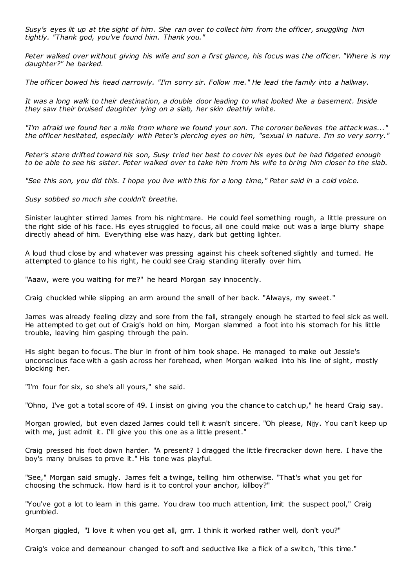*Susy's eyes lit up at the sight of him. She ran over to collect him from the officer, snuggling him tightly. "Thank god, you've found him. Thank you."*

*Peter walked over without giving his wife and son a first glance, his focus was the officer. "Where is my daughter?" he barked.*

*The officer bowed his head narrowly. "I'm sorry sir. Follow me." He lead the family into a hallway.*

*It was a long walk to their destination, a double door leading to what looked like a basement. Inside they saw their bruised daughter lying on a slab, her skin deathly white.*

*"I'm afraid we found her a mile from where we found your son. The coroner believes the attack was..." the officer hesitated, especially with Peter's piercing eyes on him, "sexual in nature. I'm so very sorry."*

*Peter's stare drifted toward his son, Susy tried her best to cover his eyes but he had fidgeted enough to be able to see his sister. Peter walked over to take him from his wife to br ing him closer to the slab.*

*"See this son, you did this. I hope you live with this for a long time," Peter said in a cold voice.*

*Susy sobbed so much she couldn't breathe.*

Sinister laughter stirred James from his nightmare. He could feel something rough, a little pressure on the right side of his face. His eyes struggled to focus, all one could make out was a large blurry shape directly ahead of him. Everything else was hazy, dark but getting lighter.

A loud thud close by and whatever was pressing against his cheek softened slightly and turned. He attempted to glance to his right, he could see Craig standing literally over him.

"Aaaw, were you waiting for me?" he heard Morgan say innocently.

Craig chuckled while slipping an arm around the small of her back. "Always, my sweet."

James was already feeling dizzy and sore from the fall, strangely enough he started to feel sick as well. He attempted to get out of Craig's hold on him, Morgan slammed a foot into his stomach for his little trouble, leaving him gasping through the pain.

His sight began to focus. The blur in front of him took shape. He managed to make out Jessie's unconscious face with a gash across her forehead, when Morgan walked into his line of sight, mostly blocking her.

"I'm four for six, so she's all yours," she said.

"Ohno, I've got a total score of 49. I insist on giving you the chance to catch up," he heard Craig say.

Morgan growled, but even dazed James could tell it wasn't sincere. "Oh please, Nijy. You can't keep up with me, just admit it. I'll give you this one as a little present."

Craig pressed his foot down harder. "A present? I dragged the little firecracker down here. I have the boy's many bruises to prove it." His tone was playful.

"See," Morgan said smugly. James felt a twinge, telling him otherwise. "That's what you get for choosing the schmuck. How hard is it to control your anchor, killboy?"

"You've got a lot to learn in this game. You draw too much attention, limit the suspect pool," Craig grumbled.

Morgan giggled, "I love it when you get all, grrr. I think it worked rather well, don't you?"

Craig's voice and demeanour changed to soft and seductive like a flick of a switch, "this time."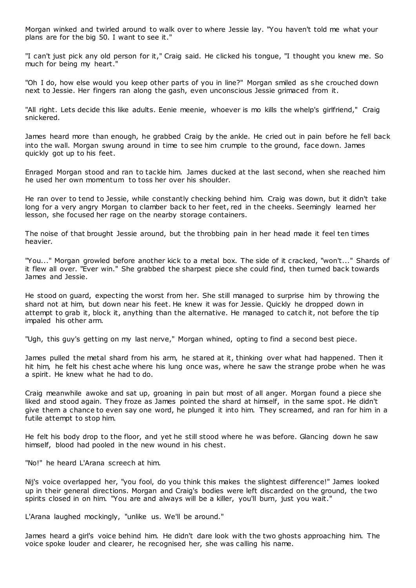Morgan winked and twirled around to walk over to where Jessie lay. "You haven't told me what your plans are for the big 50. I want to see it."

"I can't just pick any old person for it," Craig said. He clicked his tongue, "I thought you knew me. So much for being my heart."

"Oh I do, how else would you keep other parts of you in line?" Morgan smiled as she crouched down next to Jessie. Her fingers ran along the gash, even unconscious Jessie grimaced from it.

"All right. Lets decide this like adults. Eenie meenie, whoever is mo kills the whelp's girlfriend," Craig snickered.

James heard more than enough, he grabbed Craig by the ankle. He cried out in pain before he fell back into the wall. Morgan swung around in time to see him crumple to the ground, face down. James quickly got up to his feet.

Enraged Morgan stood and ran to tackle him. James ducked at the last second, when she reached him he used her own momentum to toss her over his shoulder.

He ran over to tend to Jessie, while constantly checking behind him. Craig was down, but it didn't take long for a very angry Morgan to clamber back to her feet, red in the cheeks. Seemingly learned her lesson, she focused her rage on the nearby storage containers.

The noise of that brought Jessie around, but the throbbing pain in her head made it feel ten times heavier.

"You..." Morgan growled before another kick to a metal box. The side of it cracked, "won't..." Shards of it flew all over. "Ever win." She grabbed the sharpest piece she could find, then turned back towards James and Jessie.

He stood on guard, expecting the worst from her. She still managed to surprise him by throwing the shard not at him, but down near his feet. He knew it was for Jessie. Quickly he dropped down in attempt to grab it, block it, anything than the alternative. He managed to catch it, not before the tip impaled his other arm.

"Ugh, this guy's getting on my last nerve," Morgan whined, opting to find a second best piece.

James pulled the metal shard from his arm, he stared at it, thinking over what had happened. Then it hit him, he felt his chest ache where his lung once was, where he saw the strange probe when he was a spirit. He knew what he had to do.

Craig meanwhile awoke and sat up, groaning in pain but most of all anger. Morgan found a piece she liked and stood again. They froze as James pointed the shard at himself, in the same spot. He didn't give them a chance to even say one word, he plunged it into him. They screamed, and ran for him in a futile attempt to stop him.

He felt his body drop to the floor, and yet he still stood where he was before. Glancing down he saw himself, blood had pooled in the new wound in his chest.

"No!" he heard L'Arana screech at him.

Nij's voice overlapped her, "you fool, do you think this makes the slightest difference!" James looked up in their general directions. Morgan and Craig's bodies were left discarded on the ground, the two spirits closed in on him. "You are and always will be a killer, you'll burn, just you wait."

L'Arana laughed mockingly, "unlike us. We'll be around."

James heard a girl's voice behind him. He didn't dare look with the two ghosts approaching him. The voice spoke louder and clearer, he recognised her, she was calling his name.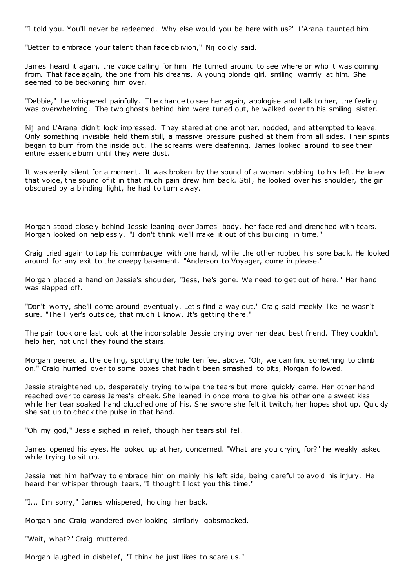"I told you. You'll never be redeemed. Why else would you be here with us?" L'Arana taunted him.

"Better to embrace your talent than face oblivion," Nij coldly said.

James heard it again, the voice calling for him. He turned around to see where or who it was coming from. That face again, the one from his dreams. A young blonde girl, smiling warmly at him. She seemed to be beckoning him over.

"Debbie," he whispered painfully. The chance to see her again, apologise and talk to her, the feeling was overwhelming. The two ghosts behind him were tuned out, he walked over to his smiling sister.

Nij and L'Arana didn't look impressed. They stared at one another, nodded, and attempted to leave. Only something invisible held them still, a massive pressure pushed at them from all sides. Their spirits began to burn from the inside out. The screams were deafening. James looked around to see their entire essence burn until they were dust.

It was eerily silent for a moment. It was broken by the sound of a woman sobbing to his left. He knew that voice, the sound of it in that much pain drew him back. Still, he looked over his shoulder, the girl obscured by a blinding light, he had to turn away.

Morgan stood closely behind Jessie leaning over James' body, her face red and drenched with tears. Morgan looked on helplessly, "I don't think we'll make it out of this building in time."

Craig tried again to tap his commbadge with one hand, while the other rubbed his sore back. He looked around for any exit to the creepy basement. "Anderson to Voyager, come in please."

Morgan placed a hand on Jessie's shoulder, "Jess, he's gone. We need to get out of here." Her hand was slapped off.

"Don't worry, she'll come around eventually. Let's find a way out," Craig said meekly like he wasn't sure. "The Flyer's outside, that much I know. It's getting there."

The pair took one last look at the inconsolable Jessie crying over her dead best friend. They couldn't help her, not until they found the stairs.

Morgan peered at the ceiling, spotting the hole ten feet above. "Oh, we can find something to climb on." Craig hurried over to some boxes that hadn't been smashed to bits, Morgan followed.

Jessie straightened up, desperately trying to wipe the tears but more quickly came. Her other hand reached over to caress James's cheek. She leaned in once more to give his other one a sweet kiss while her tear soaked hand clutched one of his. She swore she felt it twitch, her hopes shot up. Quickly she sat up to check the pulse in that hand.

"Oh my god," Jessie sighed in relief, though her tears still fell.

James opened his eyes. He looked up at her, concerned. "What are you crying for?" he weakly asked while trying to sit up.

Jessie met him halfway to embrace him on mainly his left side, being careful to avoid his injury. He heard her whisper through tears, "I thought I lost you this time."

"I... I'm sorry," James whispered, holding her back.

Morgan and Craig wandered over looking similarly gobsmacked.

"Wait, what?" Craig muttered.

Morgan laughed in disbelief, "I think he just likes to scare us."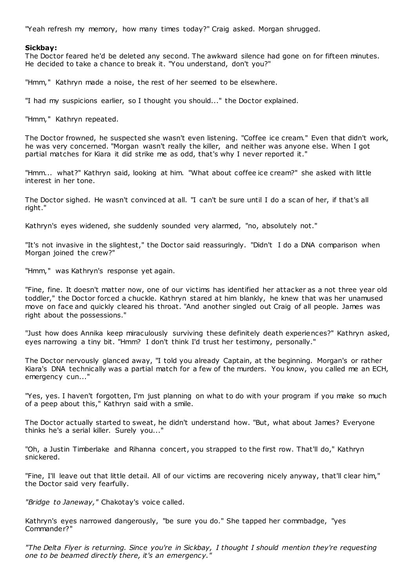"Yeah refresh my memory, how many times today?" Craig asked. Morgan shrugged.

# **Sickbay:**

The Doctor feared he'd be deleted any second. The awkward silence had gone on for fifteen minutes. He decided to take a chance to break it. "You understand, don't you?"

"Hmm," Kathryn made a noise, the rest of her seemed to be elsewhere.

"I had my suspicions earlier, so I thought you should..." the Doctor explained.

"Hmm," Kathryn repeated.

The Doctor frowned, he suspected she wasn't even listening. "Coffee ice cream." Even that didn't work, he was very concerned. "Morgan wasn't really the killer, and neither was anyone else. When I got partial matches for Kiara it did strike me as odd, that's why I never reported it."

"Hmm... what?" Kathryn said, looking at him. "What about coffee ice cream?" she asked with little interest in her tone.

The Doctor sighed. He wasn't convinced at all. "I can't be sure until I do a scan of her, if that's all right."

Kathryn's eyes widened, she suddenly sounded very alarmed, "no, absolutely not."

"It's not invasive in the slightest," the Doctor said reassuringly. "Didn't I do a DNA comparison when Morgan joined the crew?"

"Hmm," was Kathryn's response yet again.

"Fine, fine. It doesn't matter now, one of our victims has identified her attacker as a not three year old toddler," the Doctor forced a chuckle. Kathryn stared at him blankly, he knew that was her unamused move on face and quickly cleared his throat. "And another singled out Craig of all people. James was right about the possessions."

"Just how does Annika keep miraculously surviving these definitely death experiences?" Kathryn asked, eyes narrowing a tiny bit. "Hmm? I don't think I'd trust her testimony, personally."

The Doctor nervously glanced away, "I told you already Captain, at the beginning. Morgan's or rather Kiara's DNA technically was a partial match for a few of the murders. You know, you called me an ECH, emergency cun..."

"Yes, yes. I haven't forgotten, I'm just planning on what to do with your program if you make so much of a peep about this," Kathryn said with a smile.

The Doctor actually started to sweat, he didn't understand how. "But, what about James? Everyone thinks he's a serial killer. Surely you..."

"Oh, a Justin Timberlake and Rihanna concert, you strapped to the first row. That'll do," Kathryn snickered.

"Fine, I'll leave out that little detail. All of our victims are recovering nicely anyway, that'll clear him," the Doctor said very fearfully.

*"Bridge to Janeway,"* Chakotay's voice called.

Kathryn's eyes narrowed dangerously, "be sure you do." She tapped her commbadge, "yes Commander?"

*"The Delta Flyer is returning. Since you're in Sickbay, I thought I should mention they're requesting one to be beamed directly there, it's an emergency."*